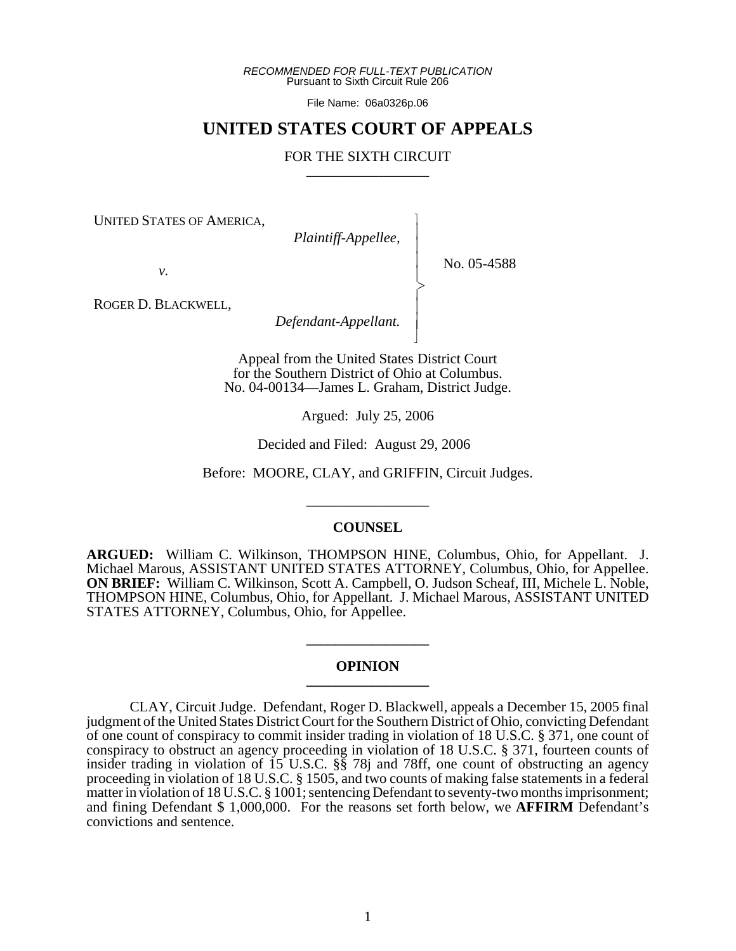*RECOMMENDED FOR FULL-TEXT PUBLICATION* Pursuant to Sixth Circuit Rule 206

File Name: 06a0326p.06

# **UNITED STATES COURT OF APPEALS**

### FOR THE SIXTH CIRCUIT

 $\overline{\phantom{a}}$ - - - -  $\succ$ |<br>|<br>| - - N

UNITED STATES OF AMERICA,

*Plaintiff-Appellee,*

No. 05-4588

*v.*

ROGER D. BLACKWELL,

*Defendant-Appellant.*

Appeal from the United States District Court for the Southern District of Ohio at Columbus. No. 04-00134—James L. Graham, District Judge.

Argued: July 25, 2006

Decided and Filed: August 29, 2006

Before: MOORE, CLAY, and GRIFFIN, Circuit Judges.

\_\_\_\_\_\_\_\_\_\_\_\_\_\_\_\_\_

#### **COUNSEL**

**ARGUED:** William C. Wilkinson, THOMPSON HINE, Columbus, Ohio, for Appellant. J. Michael Marous, ASSISTANT UNITED STATES ATTORNEY, Columbus, Ohio, for Appellee. **ON BRIEF:** William C. Wilkinson, Scott A. Campbell, O. Judson Scheaf, III, Michele L. Noble, THOMPSON HINE, Columbus, Ohio, for Appellant. J. Michael Marous, ASSISTANT UNITED STATES ATTORNEY, Columbus, Ohio, for Appellee.

#### **OPINION \_\_\_\_\_\_\_\_\_\_\_\_\_\_\_\_\_**

**\_\_\_\_\_\_\_\_\_\_\_\_\_\_\_\_\_**

CLAY, Circuit Judge. Defendant, Roger D. Blackwell, appeals a December 15, 2005 final judgment of the United States District Court for the Southern District of Ohio, convicting Defendant of one count of conspiracy to commit insider trading in violation of 18 U.S.C. § 371, one count of conspiracy to obstruct an agency proceeding in violation of 18 U.S.C. § 371, fourteen counts of insider trading in violation of 15 U.S.C. §§ 78j and 78ff, one count of obstructing an agency proceeding in violation of 18 U.S.C. § 1505, and two counts of making false statements in a federal matter in violation of 18 U.S.C. § 1001; sentencing Defendant to seventy-two months imprisonment; and fining Defendant \$ 1,000,000. For the reasons set forth below, we **AFFIRM** Defendant's convictions and sentence.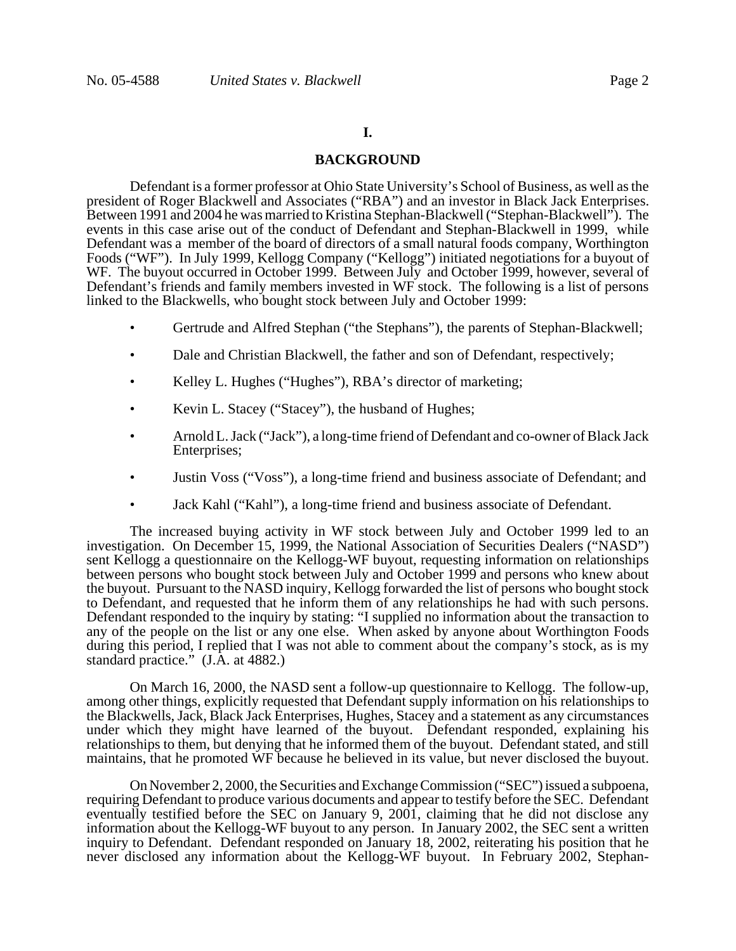# **I.**

### **BACKGROUND**

Defendant is a former professor at Ohio State University's School of Business, as well as the president of Roger Blackwell and Associates ("RBA") and an investor in Black Jack Enterprises. Between 1991 and 2004 he was married to Kristina Stephan-Blackwell ("Stephan-Blackwell"). The events in this case arise out of the conduct of Defendant and Stephan-Blackwell in 1999, while Defendant was a member of the board of directors of a small natural foods company, Worthington Foods ("WF"). In July 1999, Kellogg Company ("Kellogg") initiated negotiations for a buyout of WF. The buyout occurred in October 1999. Between July and October 1999, however, several of Defendant's friends and family members invested in WF stock. The following is a list of persons linked to the Blackwells, who bought stock between July and October 1999:

- Gertrude and Alfred Stephan ("the Stephans"), the parents of Stephan-Blackwell;
- Dale and Christian Blackwell, the father and son of Defendant, respectively;
- Kelley L. Hughes ("Hughes"), RBA's director of marketing;
- Kevin L. Stacey ("Stacey"), the husband of Hughes;
- Arnold L. Jack ("Jack"), a long-time friend of Defendant and co-owner of Black Jack Enterprises;
- Justin Voss ("Voss"), a long-time friend and business associate of Defendant; and
- Jack Kahl ("Kahl"), a long-time friend and business associate of Defendant.

The increased buying activity in WF stock between July and October 1999 led to an investigation. On December 15, 1999, the National Association of Securities Dealers ("NASD") sent Kellogg a questionnaire on the Kellogg-WF buyout, requesting information on relationships between persons who bought stock between July and October 1999 and persons who knew about the buyout. Pursuant to the NASD inquiry, Kellogg forwarded the list of persons who bought stock to Defendant, and requested that he inform them of any relationships he had with such persons. Defendant responded to the inquiry by stating: "I supplied no information about the transaction to any of the people on the list or any one else. When asked by anyone about Worthington Foods during this period, I replied that I was not able to comment about the company's stock, as is my standard practice." (J.A. at 4882.)

On March 16, 2000, the NASD sent a follow-up questionnaire to Kellogg. The follow-up, among other things, explicitly requested that Defendant supply information on his relationships to the Blackwells, Jack, Black Jack Enterprises, Hughes, Stacey and a statement as any circumstances under which they might have learned of the buyout. Defendant responded, explaining his relationships to them, but denying that he informed them of the buyout. Defendant stated, and still maintains, that he promoted WF because he believed in its value, but never disclosed the buyout.

On November 2, 2000, the Securities and Exchange Commission ("SEC") issued a subpoena, requiring Defendant to produce various documents and appear to testify before the SEC. Defendant eventually testified before the SEC on January 9, 2001, claiming that he did not disclose any information about the Kellogg-WF buyout to any person. In January 2002, the SEC sent a written inquiry to Defendant. Defendant responded on January 18, 2002, reiterating his position that he never disclosed any information about the Kellogg-WF buyout. In February 2002, Stephan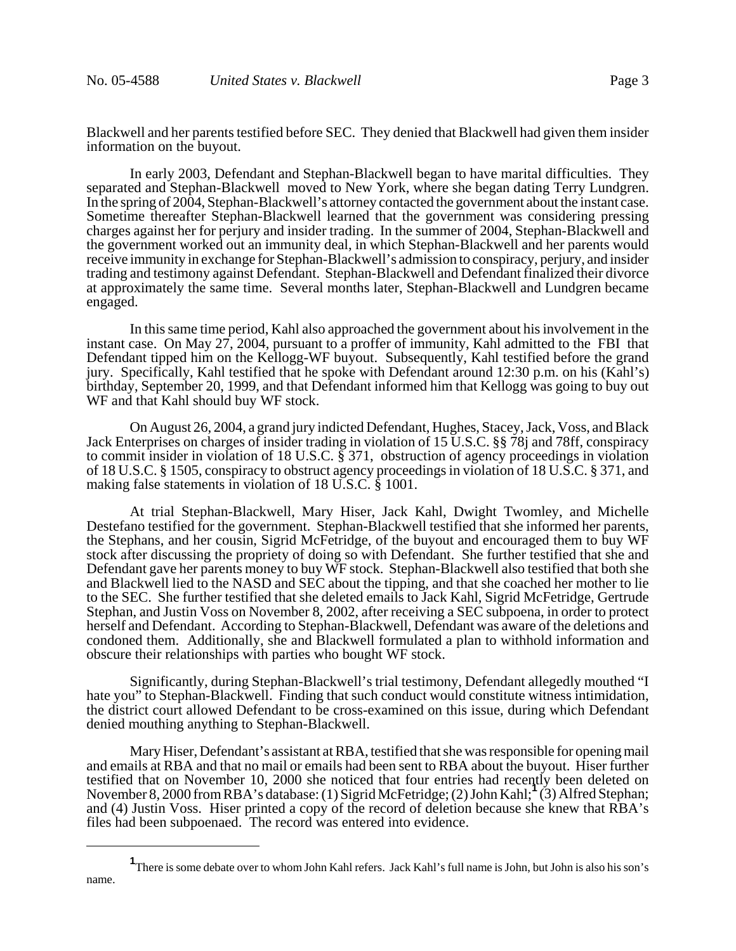Blackwell and her parents testified before SEC. They denied that Blackwell had given them insider information on the buyout.

In early 2003, Defendant and Stephan-Blackwell began to have marital difficulties. They separated and Stephan-Blackwell moved to New York, where she began dating Terry Lundgren. In the spring of 2004, Stephan-Blackwell's attorney contacted the government about the instant case. Sometime thereafter Stephan-Blackwell learned that the government was considering pressing charges against her for perjury and insider trading. In the summer of 2004, Stephan-Blackwell and the government worked out an immunity deal, in which Stephan-Blackwell and her parents would receive immunity in exchange for Stephan-Blackwell's admission to conspiracy, perjury, and insider trading and testimony against Defendant. Stephan-Blackwell and Defendant finalized their divorce at approximately the same time. Several months later, Stephan-Blackwell and Lundgren became engaged.

In this same time period, Kahl also approached the government about his involvement in the instant case. On May 27, 2004, pursuant to a proffer of immunity, Kahl admitted to the FBI that Defendant tipped him on the Kellogg-WF buyout. Subsequently, Kahl testified before the grand jury. Specifically, Kahl testified that he spoke with Defendant around 12:30 p.m. on his (Kahl's) birthday, September 20, 1999, and that Defendant informed him that Kellogg was going to buy out WF and that Kahl should buy WF stock.

On August 26, 2004, a grand jury indicted Defendant, Hughes, Stacey, Jack, Voss, and Black Jack Enterprises on charges of insider trading in violation of 15 U.S.C. §§ 78j and 78ff, conspiracy to commit insider in violation of 18 U.S.C. § 371, obstruction of agency proceedings in violation of 18 U.S.C. § 1505, conspiracy to obstruct agency proceedings in violation of 18 U.S.C. § 371, and making false statements in violation of 18 U.S.C. § 1001.

At trial Stephan-Blackwell, Mary Hiser, Jack Kahl, Dwight Twomley, and Michelle Destefano testified for the government. Stephan-Blackwell testified that she informed her parents, the Stephans, and her cousin, Sigrid McFetridge, of the buyout and encouraged them to buy WF stock after discussing the propriety of doing so with Defendant. She further testified that she and Defendant gave her parents money to buy WF stock. Stephan-Blackwell also testified that both she and Blackwell lied to the NASD and SEC about the tipping, and that she coached her mother to lie to the SEC. She further testified that she deleted emails to Jack Kahl, Sigrid McFetridge, Gertrude Stephan, and Justin Voss on November 8, 2002, after receiving a SEC subpoena, in order to protect herself and Defendant. According to Stephan-Blackwell, Defendant was aware of the deletions and condoned them. Additionally, she and Blackwell formulated a plan to withhold information and obscure their relationships with parties who bought WF stock.

Significantly, during Stephan-Blackwell's trial testimony, Defendant allegedly mouthed "I hate you" to Stephan-Blackwell. Finding that such conduct would constitute witness intimidation, the district court allowed Defendant to be cross-examined on this issue, during which Defendant denied mouthing anything to Stephan-Blackwell.

Mary Hiser, Defendant's assistant at RBA, testified that she was responsible for opening mail and emails at RBA and that no mail or emails had been sent to RBA about the buyout. Hiser further testified that on November 10, 2000 she noticed that four entries had recently been deleted on November 8, 2000 from RBA's database: (1) Sigrid McFetridge; (2) John Kahl;**<sup>1</sup>** (3) Alfred Stephan; and (4) Justin Voss. Hiser printed a copy of the record of deletion because she knew that RBA's files had been subpoenaed. The record was entered into evidence.

**<sup>1</sup>** There is some debate over to whom John Kahl refers. Jack Kahl's full name is John, but John is also his son's name.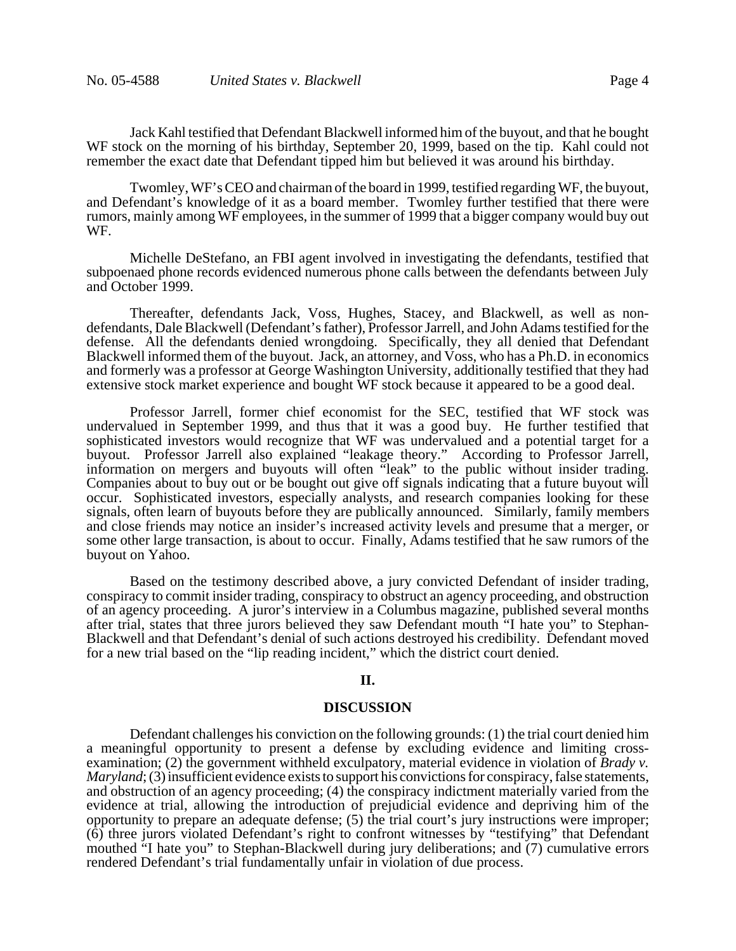Jack Kahl testified that Defendant Blackwell informed him of the buyout, and that he bought WF stock on the morning of his birthday, September 20, 1999, based on the tip. Kahl could not remember the exact date that Defendant tipped him but believed it was around his birthday.

Twomley, WF's CEO and chairman of the board in 1999, testified regarding WF, the buyout, and Defendant's knowledge of it as a board member. Twomley further testified that there were rumors, mainly among WF employees, in the summer of 1999 that a bigger company would buy out WF.

Michelle DeStefano, an FBI agent involved in investigating the defendants, testified that subpoenaed phone records evidenced numerous phone calls between the defendants between July and October 1999.

Thereafter, defendants Jack, Voss, Hughes, Stacey, and Blackwell, as well as nondefendants, Dale Blackwell (Defendant's father), Professor Jarrell, and John Adams testified for the defense. All the defendants denied wrongdoing. Specifically, they all denied that Defendant Blackwell informed them of the buyout. Jack, an attorney, and Voss, who has a Ph.D. in economics and formerly was a professor at George Washington University, additionally testified that they had extensive stock market experience and bought WF stock because it appeared to be a good deal.

Professor Jarrell, former chief economist for the SEC, testified that WF stock was undervalued in September 1999, and thus that it was a good buy. He further testified that sophisticated investors would recognize that WF was undervalued and a potential target for a buyout. Professor Jarrell also explained "leakage theory." According to Professor Jarrell, information on mergers and buyouts will often "leak" to the public without insider trading. Companies about to buy out or be bought out give off signals indicating that a future buyout will occur. Sophisticated investors, especially analysts, and research companies looking for these signals, often learn of buyouts before they are publically announced. Similarly, family members and close friends may notice an insider's increased activity levels and presume that a merger, or some other large transaction, is about to occur. Finally, Adams testified that he saw rumors of the buyout on Yahoo.

Based on the testimony described above, a jury convicted Defendant of insider trading, conspiracy to commit insider trading, conspiracy to obstruct an agency proceeding, and obstruction of an agency proceeding. A juror's interview in a Columbus magazine, published several months after trial, states that three jurors believed they saw Defendant mouth "I hate you" to Stephan-Blackwell and that Defendant's denial of such actions destroyed his credibility. Defendant moved for a new trial based on the "lip reading incident," which the district court denied.

#### **II.**

#### **DISCUSSION**

Defendant challenges his conviction on the following grounds: (1) the trial court denied him a meaningful opportunity to present a defense by excluding evidence and limiting crossexamination; (2) the government withheld exculpatory, material evidence in violation of *Brady v. Maryland*; (3) insufficient evidence exists to support his convictions for conspiracy, false statements, and obstruction of an agency proceeding; (4) the conspiracy indictment materially varied from the evidence at trial, allowing the introduction of prejudicial evidence and depriving him of the opportunity to prepare an adequate defense; (5) the trial court's jury instructions were improper; (6) three jurors violated Defendant's right to confront witnesses by "testifying" that Defendant mouthed "I hate you" to Stephan-Blackwell during jury deliberations; and (7) cumulative errors rendered Defendant's trial fundamentally unfair in violation of due process.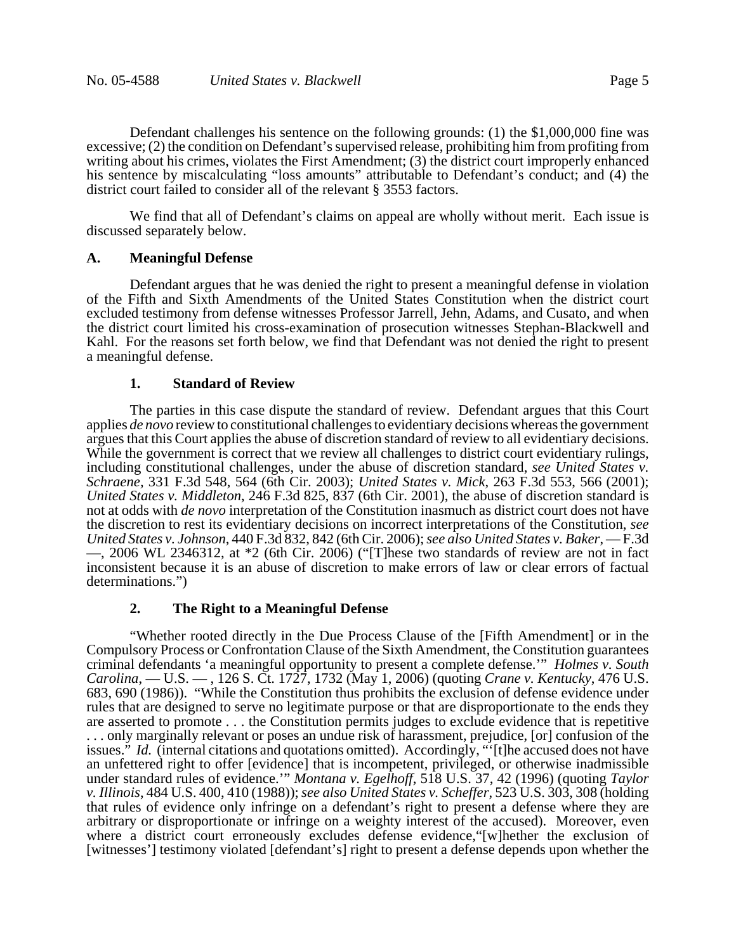Defendant challenges his sentence on the following grounds: (1) the \$1,000,000 fine was excessive; (2) the condition on Defendant's supervised release, prohibiting him from profiting from writing about his crimes, violates the First Amendment; (3) the district court improperly enhanced his sentence by miscalculating "loss amounts" attributable to Defendant's conduct; and (4) the district court failed to consider all of the relevant § 3553 factors.

We find that all of Defendant's claims on appeal are wholly without merit. Each issue is discussed separately below.

### **A. Meaningful Defense**

Defendant argues that he was denied the right to present a meaningful defense in violation of the Fifth and Sixth Amendments of the United States Constitution when the district court excluded testimony from defense witnesses Professor Jarrell, Jehn, Adams, and Cusato, and when the district court limited his cross-examination of prosecution witnesses Stephan-Blackwell and Kahl. For the reasons set forth below, we find that Defendant was not denied the right to present a meaningful defense.

#### **1. Standard of Review**

The parties in this case dispute the standard of review. Defendant argues that this Court applies *de novo* review to constitutional challenges to evidentiary decisions whereas the government argues that this Court applies the abuse of discretion standard of review to all evidentiary decisions. While the government is correct that we review all challenges to district court evidentiary rulings, including constitutional challenges, under the abuse of discretion standard, *see United States v. Schraene,* 331 F.3d 548, 564 (6th Cir. 2003); *United States v. Mick*, 263 F.3d 553, 566 (2001); *United States v. Middleton*, 246 F.3d 825, 837 (6th Cir. 2001), the abuse of discretion standard is not at odds with *de novo* interpretation of the Constitution inasmuch as district court does not have the discretion to rest its evidentiary decisions on incorrect interpretations of the Constitution, *see United States v. Johnson*, 440 F.3d 832, 842 (6th Cir. 2006); *see also United States v. Baker*, — F.3d —, 2006 WL 2346312, at \*2 (6th Cir. 2006) ("[T]hese two standards of review are not in fact inconsistent because it is an abuse of discretion to make errors of law or clear errors of factual determinations.")

#### **2. The Right to a Meaningful Defense**

"Whether rooted directly in the Due Process Clause of the [Fifth Amendment] or in the Compulsory Process or Confrontation Clause of the Sixth Amendment, the Constitution guarantees criminal defendants 'a meaningful opportunity to present a complete defense.'" *Holmes v. South Carolina*, — U.S. — , 126 S. Ct. 1727, 1732 (May 1, 2006) (quoting *Crane v. Kentucky*, 476 U.S. 683, 690 (1986)). "While the Constitution thus prohibits the exclusion of defense evidence under rules that are designed to serve no legitimate purpose or that are disproportionate to the ends they are asserted to promote . . . the Constitution permits judges to exclude evidence that is repetitive . . . only marginally relevant or poses an undue risk of harassment, prejudice, [or] confusion of the issues." *Id.* (internal citations and quotations omitted). Accordingly, "'[t]he accused does not have an unfettered right to offer [evidence] that is incompetent, privileged, or otherwise inadmissible under standard rules of evidence.'" *Montana v. Egelhoff*, 518 U.S. 37, 42 (1996) (quoting *Taylor v. Illinois*, 484 U.S. 400, 410 (1988)); *see also United States v. Scheffer*, 523 U.S. 303, 308 (holding that rules of evidence only infringe on a defendant's right to present a defense where they are arbitrary or disproportionate or infringe on a weighty interest of the accused). Moreover, even where a district court erroneously excludes defense evidence, "[w]hether the exclusion of [witnesses'] testimony violated [defendant's] right to present a defense depends upon whether the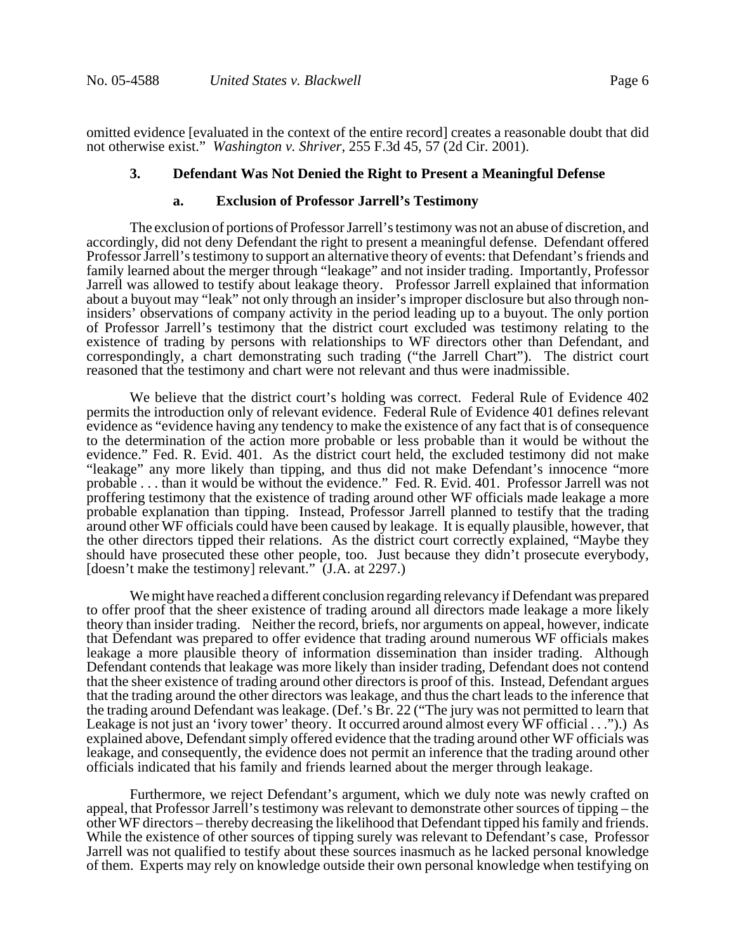omitted evidence [evaluated in the context of the entire record] creates a reasonable doubt that did not otherwise exist." *Washington v. Shriver*, 255 F.3d 45, 57 (2d Cir. 2001).

#### **3. Defendant Was Not Denied the Right to Present a Meaningful Defense**

#### **a. Exclusion of Professor Jarrell's Testimony**

The exclusion of portions of Professor Jarrell's testimony was not an abuse of discretion, and accordingly, did not deny Defendant the right to present a meaningful defense. Defendant offered Professor Jarrell's testimony to support an alternative theory of events: that Defendant's friends and family learned about the merger through "leakage" and not insider trading. Importantly, Professor Jarrell was allowed to testify about leakage theory. Professor Jarrell explained that information about a buyout may "leak" not only through an insider's improper disclosure but also through noninsiders' observations of company activity in the period leading up to a buyout. The only portion of Professor Jarrell's testimony that the district court excluded was testimony relating to the existence of trading by persons with relationships to WF directors other than Defendant, and correspondingly, a chart demonstrating such trading ("the Jarrell Chart"). The district court reasoned that the testimony and chart were not relevant and thus were inadmissible.

We believe that the district court's holding was correct. Federal Rule of Evidence 402 permits the introduction only of relevant evidence. Federal Rule of Evidence 401 defines relevant evidence as "evidence having any tendency to make the existence of any fact that is of consequence to the determination of the action more probable or less probable than it would be without the evidence." Fed. R. Evid. 401. As the district court held, the excluded testimony did not make "leakage" any more likely than tipping, and thus did not make Defendant's innocence "more probable . . . than it would be without the evidence." Fed. R. Evid. 401. Professor Jarrell was not proffering testimony that the existence of trading around other WF officials made leakage a more probable explanation than tipping. Instead, Professor Jarrell planned to testify that the trading around other WF officials could have been caused by leakage. It is equally plausible, however, that the other directors tipped their relations. As the district court correctly explained, "Maybe they should have prosecuted these other people, too. Just because they didn't prosecute everybody, [doesn't make the testimony] relevant." (J.A. at 2297.)

We might have reached a different conclusion regarding relevancy if Defendant was prepared to offer proof that the sheer existence of trading around all directors made leakage a more likely theory than insider trading. Neither the record, briefs, nor arguments on appeal, however, indicate that Defendant was prepared to offer evidence that trading around numerous WF officials makes leakage a more plausible theory of information dissemination than insider trading. Although Defendant contends that leakage was more likely than insider trading, Defendant does not contend that the sheer existence of trading around other directors is proof of this. Instead, Defendant argues that the trading around the other directors was leakage, and thus the chart leads to the inference that the trading around Defendant was leakage. (Def.'s Br. 22 ("The jury was not permitted to learn that Leakage is not just an 'ivory tower' theory. It occurred around almost every WF official . . .").) As explained above, Defendant simply offered evidence that the trading around other WF officials was leakage, and consequently, the evidence does not permit an inference that the trading around other officials indicated that his family and friends learned about the merger through leakage.

Furthermore, we reject Defendant's argument, which we duly note was newly crafted on appeal, that Professor Jarrell's testimony was relevant to demonstrate other sources of tipping – the other WF directors – thereby decreasing the likelihood that Defendant tipped his family and friends. While the existence of other sources of tipping surely was relevant to Defendant's case, Professor Jarrell was not qualified to testify about these sources inasmuch as he lacked personal knowledge of them. Experts may rely on knowledge outside their own personal knowledge when testifying on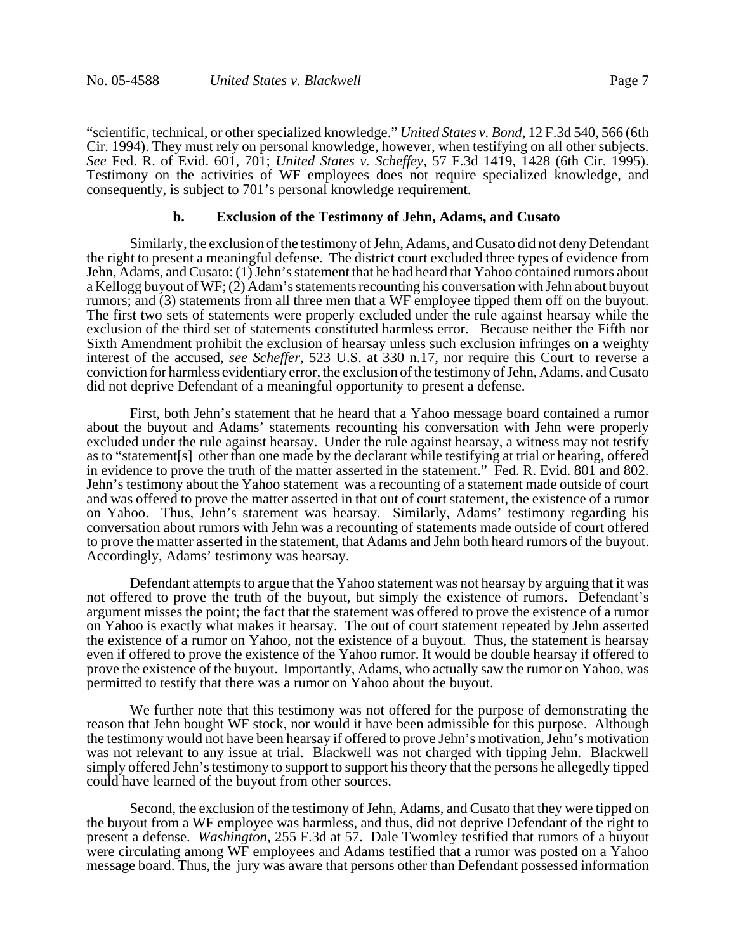"scientific, technical, or other specialized knowledge." *United States v. Bond*, 12 F.3d 540, 566 (6th Cir. 1994). They must rely on personal knowledge, however, when testifying on all other subjects. *See* Fed. R. of Evid. 601, 701; *United States v. Scheffey*, 57 F.3d 1419, 1428 (6th Cir. 1995). Testimony on the activities of WF employees does not require specialized knowledge, and consequently, is subject to 701's personal knowledge requirement.

### **b. Exclusion of the Testimony of Jehn, Adams, and Cusato**

Similarly, the exclusion of the testimony of Jehn, Adams, and Cusato did not deny Defendant the right to present a meaningful defense. The district court excluded three types of evidence from Jehn, Adams, and Cusato: (1) Jehn's statement that he had heard that Yahoo contained rumors about a Kellogg buyout of WF; (2) Adam's statements recounting his conversation with Jehn about buyout rumors; and (3) statements from all three men that a WF employee tipped them off on the buyout. The first two sets of statements were properly excluded under the rule against hearsay while the exclusion of the third set of statements constituted harmless error. Because neither the Fifth nor Sixth Amendment prohibit the exclusion of hearsay unless such exclusion infringes on a weighty interest of the accused, *see Scheffer,* 523 U.S. at 330 n.17, nor require this Court to reverse a conviction for harmless evidentiary error, the exclusion of the testimony of Jehn, Adams, and Cusato did not deprive Defendant of a meaningful opportunity to present a defense.

 First, both Jehn's statement that he heard that a Yahoo message board contained a rumor about the buyout and Adams' statements recounting his conversation with Jehn were properly excluded under the rule against hearsay. Under the rule against hearsay, a witness may not testify as to "statement[s] other than one made by the declarant while testifying at trial or hearing, offered in evidence to prove the truth of the matter asserted in the statement." Fed. R. Evid. 801 and 802. Jehn's testimony about the Yahoo statement was a recounting of a statement made outside of court and was offered to prove the matter asserted in that out of court statement, the existence of a rumor on Yahoo. Thus, Jehn's statement was hearsay. Similarly, Adams' testimony regarding his conversation about rumors with Jehn was a recounting of statements made outside of court offered to prove the matter asserted in the statement, that Adams and Jehn both heard rumors of the buyout. Accordingly, Adams' testimony was hearsay.

Defendant attempts to argue that the Yahoo statement was not hearsay by arguing that it was not offered to prove the truth of the buyout, but simply the existence of rumors. Defendant's argument misses the point; the fact that the statement was offered to prove the existence of a rumor on Yahoo is exactly what makes it hearsay. The out of court statement repeated by Jehn asserted the existence of a rumor on Yahoo, not the existence of a buyout. Thus, the statement is hearsay even if offered to prove the existence of the Yahoo rumor. It would be double hearsay if offered to prove the existence of the buyout. Importantly, Adams, who actually saw the rumor on Yahoo, was permitted to testify that there was a rumor on Yahoo about the buyout.

We further note that this testimony was not offered for the purpose of demonstrating the reason that Jehn bought WF stock, nor would it have been admissible for this purpose. Although the testimony would not have been hearsay if offered to prove Jehn's motivation, Jehn's motivation was not relevant to any issue at trial. Blackwell was not charged with tipping Jehn. Blackwell simply offered Jehn's testimony to support to support his theory that the persons he allegedly tipped could have learned of the buyout from other sources.

Second, the exclusion of the testimony of Jehn, Adams, and Cusato that they were tipped on the buyout from a WF employee was harmless, and thus, did not deprive Defendant of the right to present a defense. *Washington*, 255 F.3d at 57. Dale Twomley testified that rumors of a buyout were circulating among WF employees and Adams testified that a rumor was posted on a Yahoo message board. Thus, the jury was aware that persons other than Defendant possessed information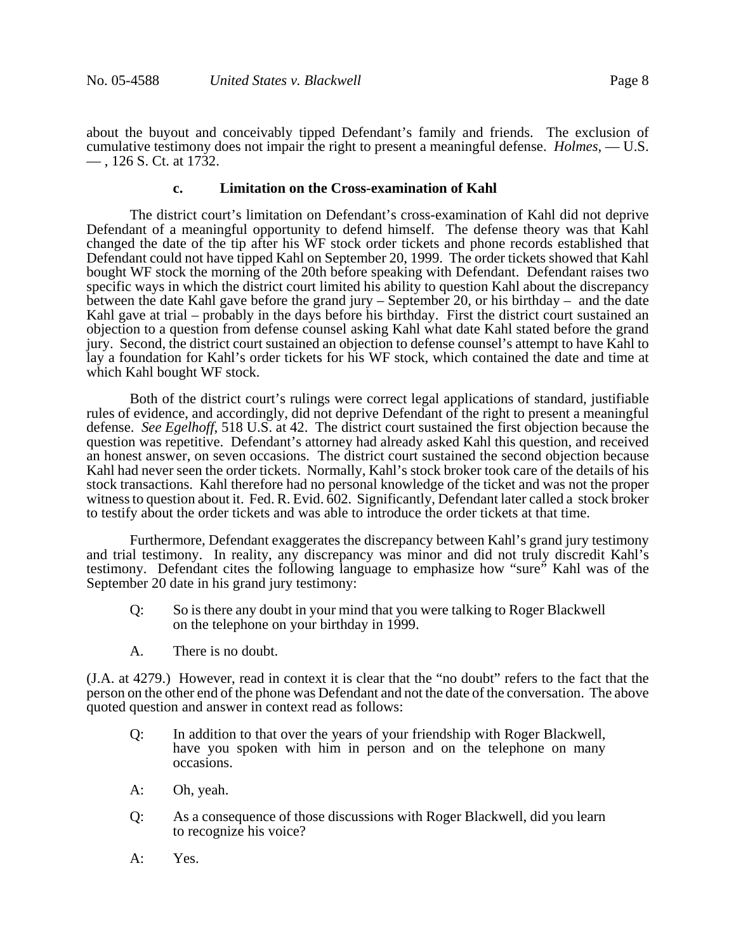about the buyout and conceivably tipped Defendant's family and friends. The exclusion of cumulative testimony does not impair the right to present a meaningful defense. *Holmes*, — U.S. — , 126 S. Ct. at 1732.

## **c. Limitation on the Cross-examination of Kahl**

The district court's limitation on Defendant's cross-examination of Kahl did not deprive Defendant of a meaningful opportunity to defend himself. The defense theory was that Kahl changed the date of the tip after his WF stock order tickets and phone records established that Defendant could not have tipped Kahl on September 20, 1999. The order tickets showed that Kahl bought WF stock the morning of the 20th before speaking with Defendant. Defendant raises two specific ways in which the district court limited his ability to question Kahl about the discrepancy between the date Kahl gave before the grand jury – September 20, or his birthday – and the date Kahl gave at trial – probably in the days before his birthday. First the district court sustained an objection to a question from defense counsel asking Kahl what date Kahl stated before the grand jury. Second, the district court sustained an objection to defense counsel's attempt to have Kahl to lay a foundation for Kahl's order tickets for his WF stock, which contained the date and time at which Kahl bought WF stock.

Both of the district court's rulings were correct legal applications of standard, justifiable rules of evidence, and accordingly, did not deprive Defendant of the right to present a meaningful defense. *See Egelhoff*, 518 U.S. at 42. The district court sustained the first objection because the question was repetitive. Defendant's attorney had already asked Kahl this question, and received an honest answer, on seven occasions. The district court sustained the second objection because Kahl had never seen the order tickets. Normally, Kahl's stock broker took care of the details of his stock transactions. Kahl therefore had no personal knowledge of the ticket and was not the proper witness to question about it. Fed. R. Evid. 602. Significantly, Defendant later called a stock broker to testify about the order tickets and was able to introduce the order tickets at that time.

Furthermore, Defendant exaggerates the discrepancy between Kahl's grand jury testimony and trial testimony. In reality, any discrepancy was minor and did not truly discredit Kahl's testimony. Defendant cites the following language to emphasize how "sure" Kahl was of the September 20 date in his grand jury testimony:

- Q: So is there any doubt in your mind that you were talking to Roger Blackwell on the telephone on your birthday in 1999.
- A. There is no doubt.

(J.A. at 4279.) However, read in context it is clear that the "no doubt" refers to the fact that the person on the other end of the phone was Defendant and not the date of the conversation. The above quoted question and answer in context read as follows:

- Q: In addition to that over the years of your friendship with Roger Blackwell, have you spoken with him in person and on the telephone on many occasions.
- A: Oh, yeah.
- Q: As a consequence of those discussions with Roger Blackwell, did you learn to recognize his voice?
- A: Yes.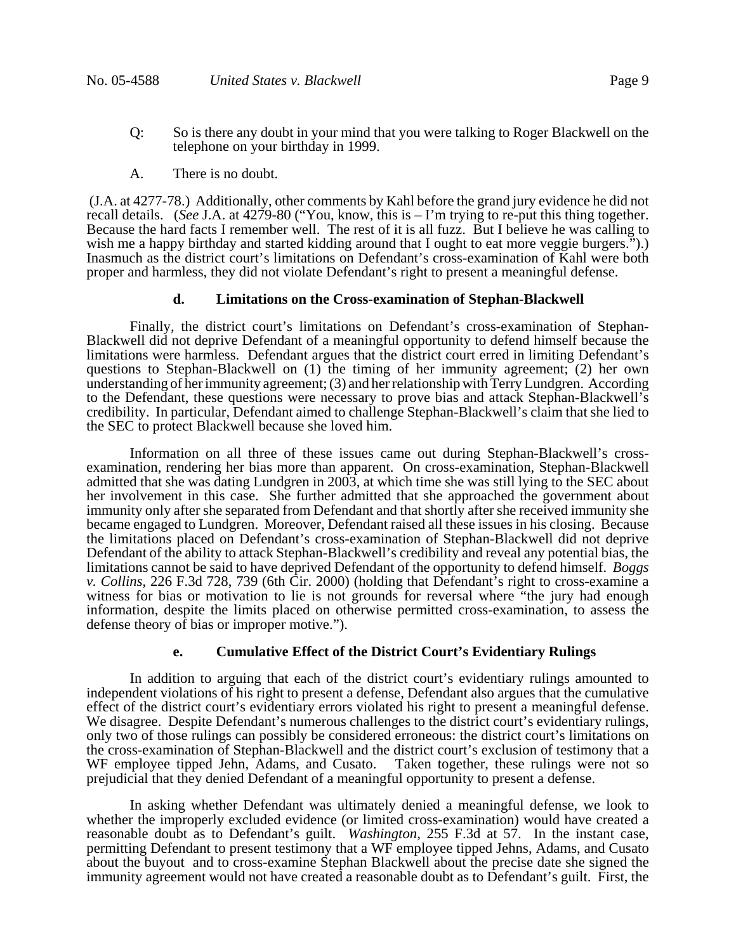- Q: So is there any doubt in your mind that you were talking to Roger Blackwell on the telephone on your birthday in 1999.
- A. There is no doubt.

 (J.A. at 4277-78.) Additionally, other comments by Kahl before the grand jury evidence he did not recall details. (*See* J.A. at 4279-80 ("You, know, this is – I'm trying to re-put this thing together. Because the hard facts I remember well. The rest of it is all fuzz. But I believe he was calling to wish me a happy birthday and started kidding around that I ought to eat more veggie burgers.").) Inasmuch as the district court's limitations on Defendant's cross-examination of Kahl were both proper and harmless, they did not violate Defendant's right to present a meaningful defense.

### **d. Limitations on the Cross-examination of Stephan-Blackwell**

Finally, the district court's limitations on Defendant's cross-examination of Stephan-Blackwell did not deprive Defendant of a meaningful opportunity to defend himself because the limitations were harmless. Defendant argues that the district court erred in limiting Defendant's questions to Stephan-Blackwell on (1) the timing of her immunity agreement; (2) her own understanding of her immunity agreement; (3) and her relationship with Terry Lundgren. According to the Defendant, these questions were necessary to prove bias and attack Stephan-Blackwell's credibility. In particular, Defendant aimed to challenge Stephan-Blackwell's claim that she lied to the SEC to protect Blackwell because she loved him.

Information on all three of these issues came out during Stephan-Blackwell's crossexamination, rendering her bias more than apparent. On cross-examination, Stephan-Blackwell admitted that she was dating Lundgren in 2003, at which time she was still lying to the SEC about her involvement in this case. She further admitted that she approached the government about immunity only after she separated from Defendant and that shortly after she received immunity she became engaged to Lundgren. Moreover, Defendant raised all these issues in his closing. Because the limitations placed on Defendant's cross-examination of Stephan-Blackwell did not deprive Defendant of the ability to attack Stephan-Blackwell's credibility and reveal any potential bias, the limitations cannot be said to have deprived Defendant of the opportunity to defend himself. *Boggs v. Collins*, 226 F.3d 728, 739 (6th Cir. 2000) (holding that Defendant's right to cross-examine a witness for bias or motivation to lie is not grounds for reversal where "the jury had enough information, despite the limits placed on otherwise permitted cross-examination, to assess the defense theory of bias or improper motive.").

### **e. Cumulative Effect of the District Court's Evidentiary Rulings**

In addition to arguing that each of the district court's evidentiary rulings amounted to independent violations of his right to present a defense, Defendant also argues that the cumulative effect of the district court's evidentiary errors violated his right to present a meaningful defense. We disagree. Despite Defendant's numerous challenges to the district court's evidentiary rulings, only two of those rulings can possibly be considered erroneous: the district court's limitations on the cross-examination of Stephan-Blackwell and the district court's exclusion of testimony that a WF employee tipped Jehn, Adams, and Cusato. Taken together, these rulings were not so prejudicial that they denied Defendant of a meaningful opportunity to present a defense.

In asking whether Defendant was ultimately denied a meaningful defense, we look to whether the improperly excluded evidence (or limited cross-examination) would have created a reasonable doubt as to Defendant's guilt. *Washington*, 255 F.3d at 57. In the instant case, permitting Defendant to present testimony that a WF employee tipped Jehns, Adams, and Cusato about the buyout and to cross-examine Stephan Blackwell about the precise date she signed the immunity agreement would not have created a reasonable doubt as to Defendant's guilt. First, the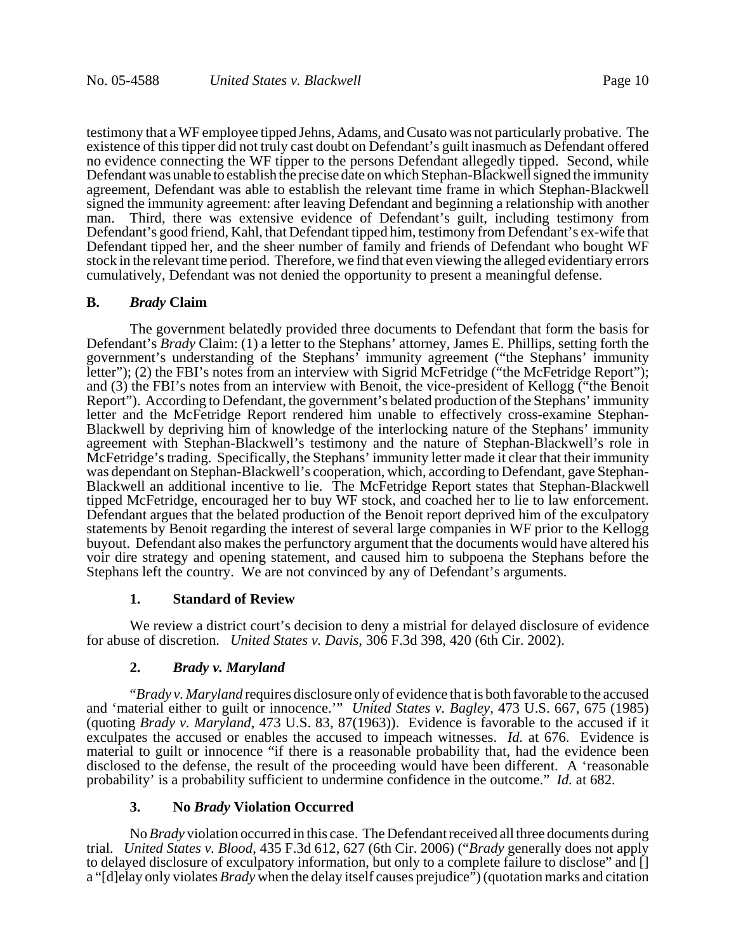testimony that a WF employee tipped Jehns, Adams, and Cusato was not particularly probative. The existence of this tipper did not truly cast doubt on Defendant's guilt inasmuch as Defendant offered no evidence connecting the WF tipper to the persons Defendant allegedly tipped. Second, while Defendant was unable to establish the precise date on which Stephan-Blackwell signed the immunity agreement, Defendant was able to establish the relevant time frame in which Stephan-Blackwell signed the immunity agreement: after leaving Defendant and beginning a relationship with another man. Third, there was extensive evidence of Defendant's guilt, including testimony from Defendant's good friend, Kahl, that Defendant tipped him, testimony from Defendant's ex-wife that Defendant tipped her, and the sheer number of family and friends of Defendant who bought WF stock in the relevant time period. Therefore, we find that even viewing the alleged evidentiary errors cumulatively, Defendant was not denied the opportunity to present a meaningful defense.

### **B.** *Brady* **Claim**

The government belatedly provided three documents to Defendant that form the basis for Defendant's *Brady* Claim: (1) a letter to the Stephans' attorney, James E. Phillips, setting forth the government's understanding of the Stephans' immunity agreement ("the Stephans' immunity letter"); (2) the FBI's notes from an interview with Sigrid McFetridge ("the McFetridge Report"); and (3) the FBI's notes from an interview with Benoit, the vice-president of Kellogg ("the Benoit Report"). According to Defendant, the government's belated production of the Stephans' immunity letter and the McFetridge Report rendered him unable to effectively cross-examine Stephan-Blackwell by depriving him of knowledge of the interlocking nature of the Stephans' immunity agreement with Stephan-Blackwell's testimony and the nature of Stephan-Blackwell's role in McFetridge's trading. Specifically, the Stephans' immunity letter made it clear that their immunity was dependant on Stephan-Blackwell's cooperation, which, according to Defendant, gave Stephan-Blackwell an additional incentive to lie. The McFetridge Report states that Stephan-Blackwell tipped McFetridge, encouraged her to buy WF stock, and coached her to lie to law enforcement. Defendant argues that the belated production of the Benoit report deprived him of the exculpatory statements by Benoit regarding the interest of several large companies in WF prior to the Kellogg buyout. Defendant also makes the perfunctory argument that the documents would have altered his voir dire strategy and opening statement, and caused him to subpoena the Stephans before the Stephans left the country. We are not convinced by any of Defendant's arguments.

#### **1. Standard of Review**

We review a district court's decision to deny a mistrial for delayed disclosure of evidence for abuse of discretion. *United States v. Davis*, 306 F.3d 398, 420 (6th Cir. 2002).

## **2.** *Brady v. Maryland*

"*Brady v. Maryland* requires disclosure only of evidence that is both favorable to the accused and 'material either to guilt or innocence.'" *United States v. Bagley*, 473 U.S. 667, 675 (1985) (quoting *Brady v. Maryland*, 473 U.S. 83, 87(1963)). Evidence is favorable to the accused if it exculpates the accused or enables the accused to impeach witnesses. *Id.* at 676. Evidence is material to guilt or innocence "if there is a reasonable probability that, had the evidence been disclosed to the defense, the result of the proceeding would have been different. A 'reasonable probability' is a probability sufficient to undermine confidence in the outcome." *Id.* at 682.

#### **3. No** *Brady* **Violation Occurred**

No *Brady* violation occurred in this case. The Defendant received all three documents during trial. *United States v. Blood*, 435 F.3d 612, 627 (6th Cir. 2006) ("*Brady* generally does not apply to delayed disclosure of exculpatory information, but only to a complete failure to disclose" and [] a "[d]elay only violates *Brady* when the delay itself causes prejudice") (quotation marks and citation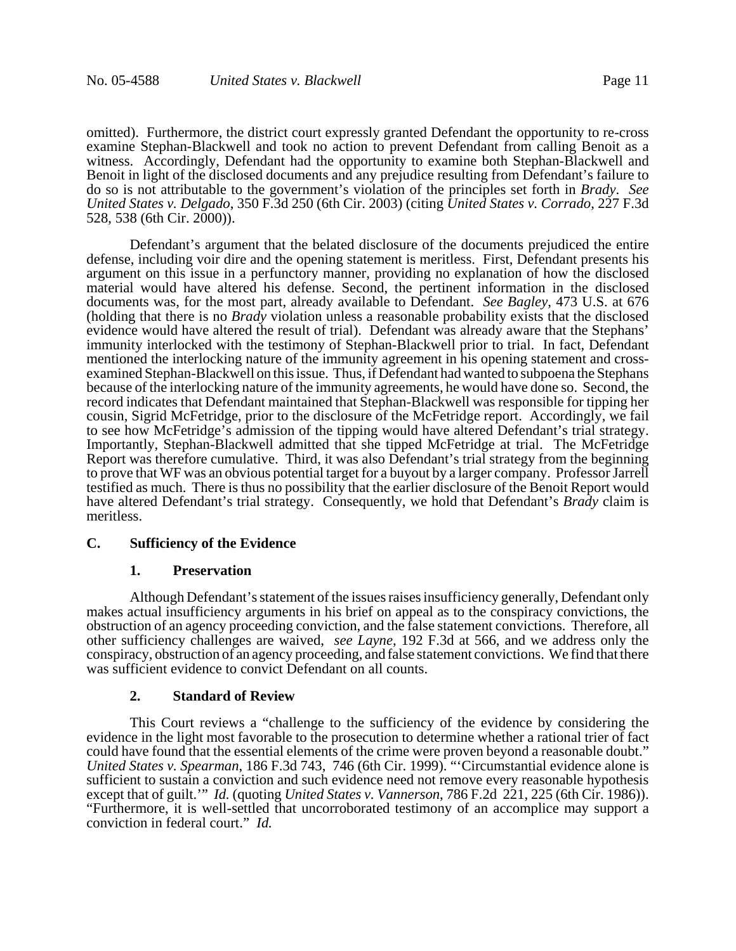omitted). Furthermore, the district court expressly granted Defendant the opportunity to re-cross examine Stephan-Blackwell and took no action to prevent Defendant from calling Benoit as a witness. Accordingly, Defendant had the opportunity to examine both Stephan-Blackwell and Benoit in light of the disclosed documents and any prejudice resulting from Defendant's failure to do so is not attributable to the government's violation of the principles set forth in *Brady*. *See United States v. Delgado*, 350 F.3d 250 (6th Cir. 2003) (citing *United States v. Corrado*, 227 F.3d 528, 538 (6th Cir. 2000)).

Defendant's argument that the belated disclosure of the documents prejudiced the entire defense, including voir dire and the opening statement is meritless. First, Defendant presents his argument on this issue in a perfunctory manner, providing no explanation of how the disclosed material would have altered his defense. Second, the pertinent information in the disclosed documents was, for the most part, already available to Defendant. *See Bagley*, 473 U.S. at 676 (holding that there is no *Brady* violation unless a reasonable probability exists that the disclosed evidence would have altered the result of trial). Defendant was already aware that the Stephans' immunity interlocked with the testimony of Stephan-Blackwell prior to trial. In fact, Defendant mentioned the interlocking nature of the immunity agreement in his opening statement and crossexamined Stephan-Blackwell on this issue. Thus, if Defendant had wanted to subpoena the Stephans because of the interlocking nature of the immunity agreements, he would have done so. Second, the record indicates that Defendant maintained that Stephan-Blackwell was responsible for tipping her cousin, Sigrid McFetridge, prior to the disclosure of the McFetridge report. Accordingly, we fail to see how McFetridge's admission of the tipping would have altered Defendant's trial strategy. Importantly, Stephan-Blackwell admitted that she tipped McFetridge at trial. The McFetridge Report was therefore cumulative. Third, it was also Defendant's trial strategy from the beginning to prove that WF was an obvious potential target for a buyout by a larger company. Professor Jarrell testified as much. There is thus no possibility that the earlier disclosure of the Benoit Report would have altered Defendant's trial strategy. Consequently, we hold that Defendant's *Brady* claim is meritless.

#### **C. Sufficiency of the Evidence**

#### **1. Preservation**

Although Defendant's statement of the issues raises insufficiency generally, Defendant only makes actual insufficiency arguments in his brief on appeal as to the conspiracy convictions, the obstruction of an agency proceeding conviction, and the false statement convictions. Therefore, all other sufficiency challenges are waived, *see Layne*, 192 F.3d at 566, and we address only the conspiracy, obstruction of an agency proceeding, and false statement convictions. We find that there was sufficient evidence to convict Defendant on all counts.

#### **2. Standard of Review**

This Court reviews a "challenge to the sufficiency of the evidence by considering the evidence in the light most favorable to the prosecution to determine whether a rational trier of fact could have found that the essential elements of the crime were proven beyond a reasonable doubt." *United States v. Spearman*, 186 F.3d 743, 746 (6th Cir. 1999). "'Circumstantial evidence alone is sufficient to sustain a conviction and such evidence need not remove every reasonable hypothesis except that of guilt.'" *Id.* (quoting *United States v. Vannerson*, 786 F.2d 221, 225 (6th Cir. 1986)). "Furthermore, it is well-settled that uncorroborated testimony of an accomplice may support a conviction in federal court." *Id.*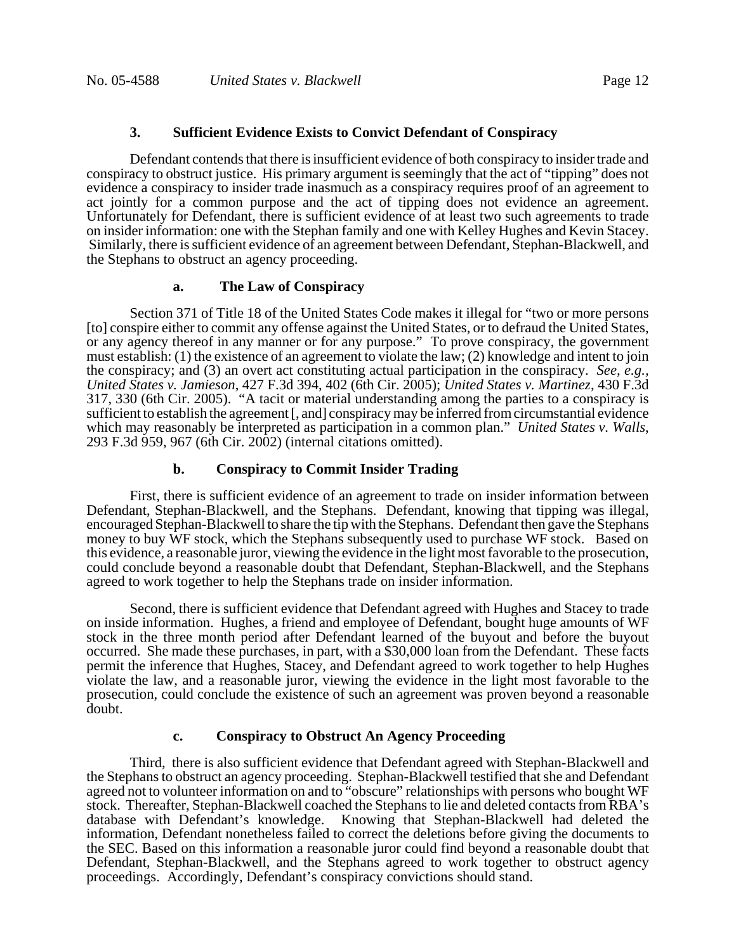## **3. Sufficient Evidence Exists to Convict Defendant of Conspiracy**

Defendant contends that there is insufficient evidence of both conspiracy to insider trade and conspiracy to obstruct justice. His primary argument is seemingly that the act of "tipping" does not evidence a conspiracy to insider trade inasmuch as a conspiracy requires proof of an agreement to act jointly for a common purpose and the act of tipping does not evidence an agreement. Unfortunately for Defendant, there is sufficient evidence of at least two such agreements to trade on insider information: one with the Stephan family and one with Kelley Hughes and Kevin Stacey. Similarly, there is sufficient evidence of an agreement between Defendant, Stephan-Blackwell, and the Stephans to obstruct an agency proceeding.

### **a. The Law of Conspiracy**

Section 371 of Title 18 of the United States Code makes it illegal for "two or more persons [to] conspire either to commit any offense against the United States, or to defraud the United States, or any agency thereof in any manner or for any purpose." To prove conspiracy, the government must establish: (1) the existence of an agreement to violate the law; (2) knowledge and intent to join the conspiracy; and (3) an overt act constituting actual participation in the conspiracy. *See, e.g., United States v. Jamieson*, 427 F.3d 394, 402 (6th Cir. 2005); *United States v. Martinez*, 430 F.3d 317, 330 (6th Cir. 2005). "A tacit or material understanding among the parties to a conspiracy is sufficient to establish the agreement [, and] conspiracy may be inferred from circumstantial evidence which may reasonably be interpreted as participation in a common plan." *United States v. Walls*, 293 F.3d 959, 967 (6th Cir. 2002) (internal citations omitted).

### **b. Conspiracy to Commit Insider Trading**

First, there is sufficient evidence of an agreement to trade on insider information between Defendant, Stephan-Blackwell, and the Stephans. Defendant, knowing that tipping was illegal, encouraged Stephan-Blackwell to share the tip with the Stephans. Defendant then gave the Stephans money to buy WF stock, which the Stephans subsequently used to purchase WF stock. Based on this evidence, a reasonable juror, viewing the evidence in the light most favorable to the prosecution, could conclude beyond a reasonable doubt that Defendant, Stephan-Blackwell, and the Stephans agreed to work together to help the Stephans trade on insider information.

Second, there is sufficient evidence that Defendant agreed with Hughes and Stacey to trade on inside information. Hughes, a friend and employee of Defendant, bought huge amounts of WF stock in the three month period after Defendant learned of the buyout and before the buyout occurred. She made these purchases, in part, with a \$30,000 loan from the Defendant. These facts permit the inference that Hughes, Stacey, and Defendant agreed to work together to help Hughes violate the law, and a reasonable juror, viewing the evidence in the light most favorable to the prosecution, could conclude the existence of such an agreement was proven beyond a reasonable doubt.

#### **c. Conspiracy to Obstruct An Agency Proceeding**

Third, there is also sufficient evidence that Defendant agreed with Stephan-Blackwell and the Stephans to obstruct an agency proceeding. Stephan-Blackwell testified that she and Defendant agreed not to volunteer information on and to "obscure" relationships with persons who bought WF stock. Thereafter, Stephan-Blackwell coached the Stephans to lie and deleted contacts from RBA's database with Defendant's knowledge. Knowing that Stephan-Blackwell had deleted the information, Defendant nonetheless failed to correct the deletions before giving the documents to the SEC. Based on this information a reasonable juror could find beyond a reasonable doubt that Defendant, Stephan-Blackwell, and the Stephans agreed to work together to obstruct agency proceedings. Accordingly, Defendant's conspiracy convictions should stand.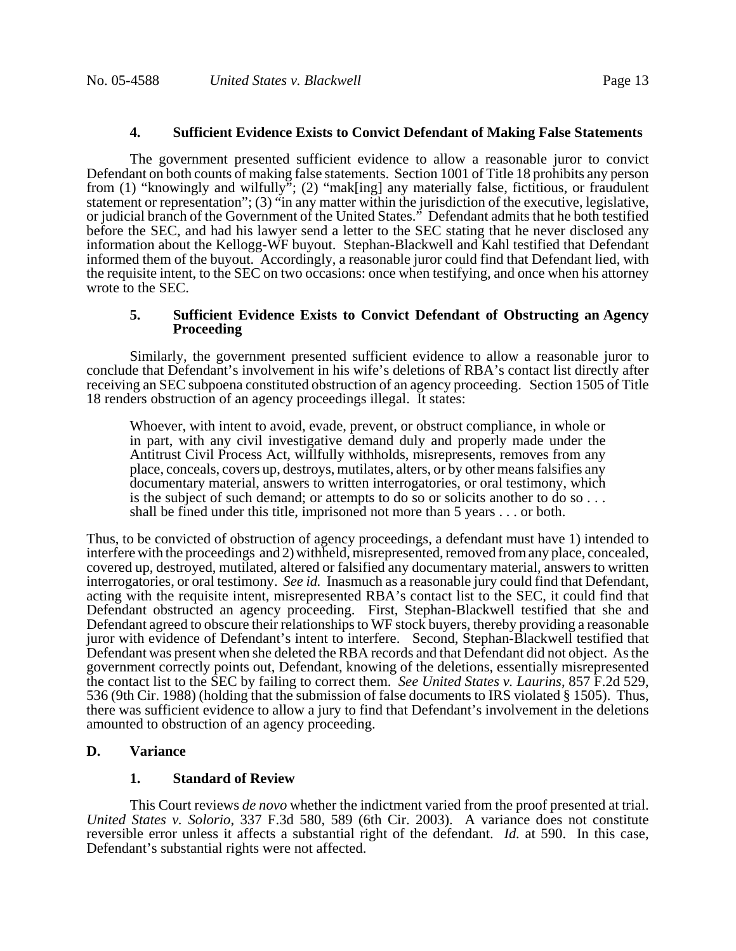### **4. Sufficient Evidence Exists to Convict Defendant of Making False Statements**

The government presented sufficient evidence to allow a reasonable juror to convict Defendant on both counts of making false statements. Section 1001 of Title 18 prohibits any person from (1) "knowingly and wilfully"; (2) "mak[ing] any materially false, fictitious, or fraudulent statement or representation"; (3) "in any matter within the jurisdiction of the executive, legislative, or judicial branch of the Government of the United States." Defendant admits that he both testified before the SEC, and had his lawyer send a letter to the SEC stating that he never disclosed any information about the Kellogg-WF buyout. Stephan-Blackwell and Kahl testified that Defendant informed them of the buyout. Accordingly, a reasonable juror could find that Defendant lied, with the requisite intent, to the SEC on two occasions: once when testifying, and once when his attorney wrote to the SEC.

### **5. Sufficient Evidence Exists to Convict Defendant of Obstructing an Agency Proceeding**

Similarly, the government presented sufficient evidence to allow a reasonable juror to conclude that Defendant's involvement in his wife's deletions of RBA's contact list directly after receiving an SEC subpoena constituted obstruction of an agency proceeding. Section 1505 of Title 18 renders obstruction of an agency proceedings illegal. It states:

Whoever, with intent to avoid, evade, prevent, or obstruct compliance, in whole or in part, with any civil investigative demand duly and properly made under the Antitrust Civil Process Act, willfully withholds, misrepresents, removes from any place, conceals, covers up, destroys, mutilates, alters, or by other means falsifies any documentary material, answers to written interrogatories, or oral testimony, which is the subject of such demand; or attempts to do so or solicits another to do so . . . shall be fined under this title, imprisoned not more than 5 years . . . or both.

Thus, to be convicted of obstruction of agency proceedings, a defendant must have 1) intended to interfere with the proceedings and 2) withheld, misrepresented, removed from any place, concealed, covered up, destroyed, mutilated, altered or falsified any documentary material, answers to written interrogatories, or oral testimony. *See id.* Inasmuch as a reasonable jury could find that Defendant, acting with the requisite intent, misrepresented RBA's contact list to the SEC, it could find that Defendant obstructed an agency proceeding. First, Stephan-Blackwell testified that she and Defendant agreed to obscure their relationships to WF stock buyers, thereby providing a reasonable juror with evidence of Defendant's intent to interfere. Second, Stephan-Blackwell testified that Defendant was present when she deleted the RBA records and that Defendant did not object. As the government correctly points out, Defendant, knowing of the deletions, essentially misrepresented the contact list to the SEC by failing to correct them. *See United States v. Laurins*, 857 F.2d 529, 536 (9th Cir. 1988) (holding that the submission of false documents to IRS violated § 1505). Thus, there was sufficient evidence to allow a jury to find that Defendant's involvement in the deletions amounted to obstruction of an agency proceeding.

### **D. Variance**

### **1. Standard of Review**

This Court reviews *de novo* whether the indictment varied from the proof presented at trial. *United States v. Solorio*, 337 F.3d 580, 589 (6th Cir. 2003). A variance does not constitute reversible error unless it affects a substantial right of the defendant. *Id.* at 590. In this case, Defendant's substantial rights were not affected.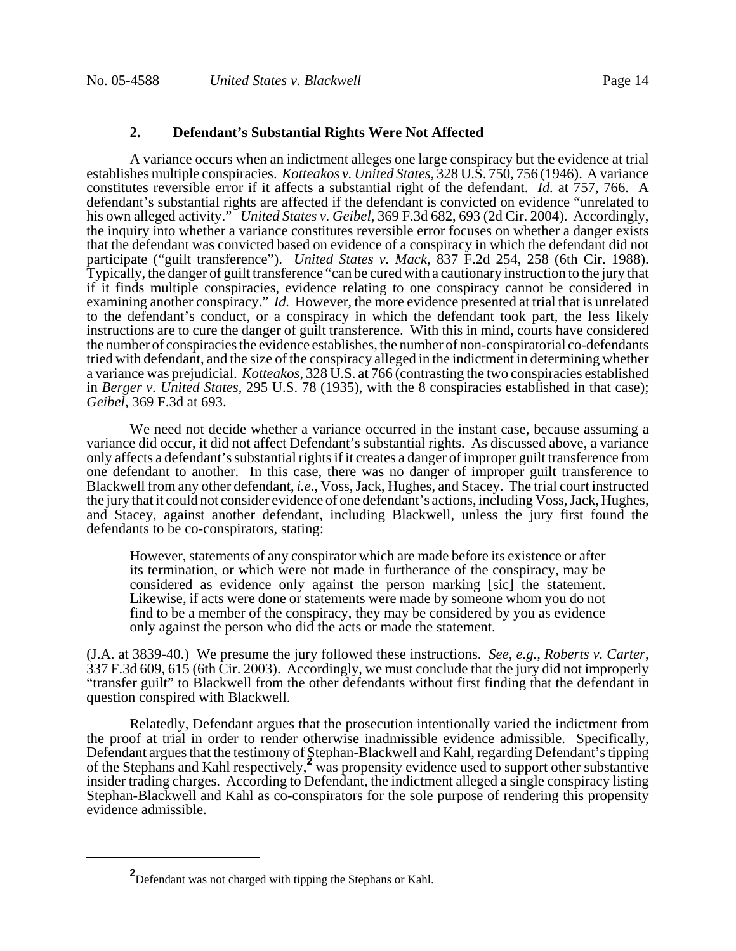#### **2. Defendant's Substantial Rights Were Not Affected**

A variance occurs when an indictment alleges one large conspiracy but the evidence at trial establishes multiple conspiracies. *Kotteakos v. United States*, 328 U.S. 750, 756 (1946). A variance constitutes reversible error if it affects a substantial right of the defendant. *Id.* at 757, 766. A defendant's substantial rights are affected if the defendant is convicted on evidence "unrelated to his own alleged activity." *United States v. Geibel*, 369 F.3d 682, 693 (2d Cir. 2004). Accordingly, the inquiry into whether a variance constitutes reversible error focuses on whether a danger exists that the defendant was convicted based on evidence of a conspiracy in which the defendant did not participate ("guilt transference"). *United States v. Mack*, 837 F.2d 254, 258 (6th Cir. 1988). Typically, the danger of guilt transference "can be cured with a cautionary instruction to the jury that if it finds multiple conspiracies, evidence relating to one conspiracy cannot be considered in examining another conspiracy." *Id.* However, the more evidence presented at trial that is unrelated to the defendant's conduct, or a conspiracy in which the defendant took part, the less likely instructions are to cure the danger of guilt transference. With this in mind, courts have considered the number of conspiracies the evidence establishes, the number of non-conspiratorial co-defendants tried with defendant, and the size of the conspiracy alleged in the indictment in determining whether a variance was prejudicial. *Kotteakos*, 328 U.S. at 766 (contrasting the two conspiracies established in *Berger v. United States*, 295 U.S. 78 (1935), with the 8 conspiracies established in that case); *Geibel*, 369 F.3d at 693.

We need not decide whether a variance occurred in the instant case, because assuming a variance did occur, it did not affect Defendant's substantial rights. As discussed above, a variance only affects a defendant's substantial rights if it creates a danger of improper guilt transference from one defendant to another. In this case, there was no danger of improper guilt transference to Blackwell from any other defendant, *i.e.*, Voss, Jack, Hughes, and Stacey. The trial court instructed the jury that it could not consider evidence of one defendant's actions, including Voss, Jack, Hughes, and Stacey, against another defendant, including Blackwell, unless the jury first found the defendants to be co-conspirators, stating:

However, statements of any conspirator which are made before its existence or after its termination, or which were not made in furtherance of the conspiracy, may be considered as evidence only against the person marking [sic] the statement. Likewise, if acts were done or statements were made by someone whom you do not find to be a member of the conspiracy, they may be considered by you as evidence only against the person who did the acts or made the statement.

(J.A. at 3839-40.) We presume the jury followed these instructions. *See, e.g., Roberts v. Carter*, 337 F.3d 609, 615 (6th Cir. 2003). Accordingly, we must conclude that the jury did not improperly "transfer guilt" to Blackwell from the other defendants without first finding that the defendant in question conspired with Blackwell.

Relatedly, Defendant argues that the prosecution intentionally varied the indictment from the proof at trial in order to render otherwise inadmissible evidence admissible. Specifically, Defendant argues that the testimony of Stephan-Blackwell and Kahl, regarding Defendant's tipping of the Stephans and Kahl respectively,**<sup>2</sup>** was propensity evidence used to support other substantive insider trading charges. According to Defendant, the indictment alleged a single conspiracy listing Stephan-Blackwell and Kahl as co-conspirators for the sole purpose of rendering this propensity evidence admissible.

**<sup>2</sup>** Defendant was not charged with tipping the Stephans or Kahl.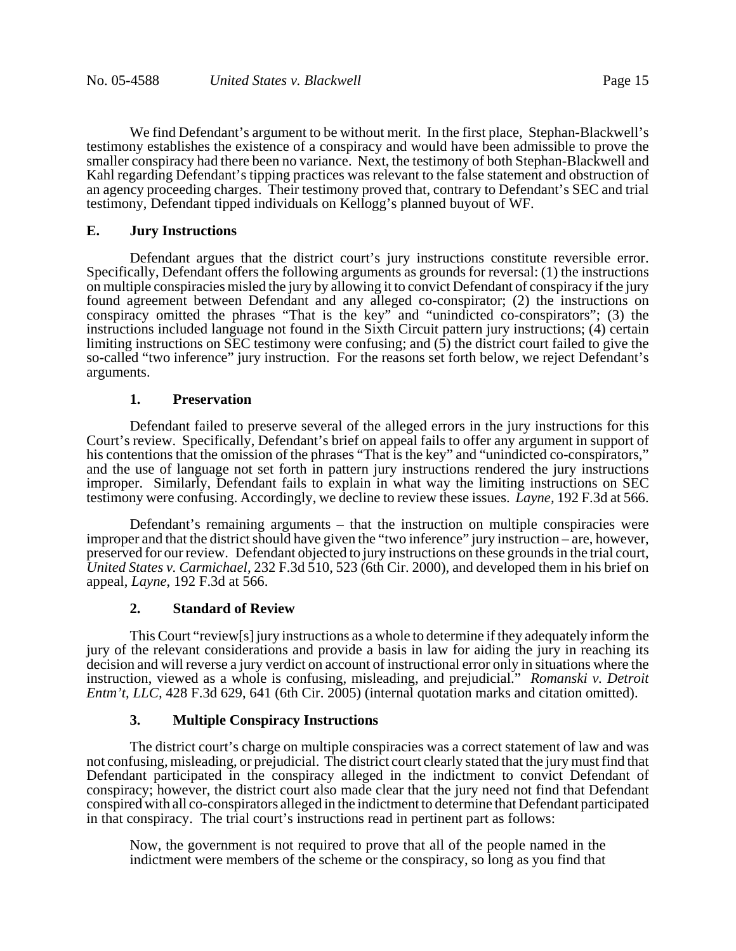We find Defendant's argument to be without merit. In the first place, Stephan-Blackwell's testimony establishes the existence of a conspiracy and would have been admissible to prove the smaller conspiracy had there been no variance. Next, the testimony of both Stephan-Blackwell and Kahl regarding Defendant's tipping practices was relevant to the false statement and obstruction of an agency proceeding charges. Their testimony proved that, contrary to Defendant's SEC and trial testimony, Defendant tipped individuals on Kellogg's planned buyout of WF.

## **E. Jury Instructions**

Defendant argues that the district court's jury instructions constitute reversible error. Specifically, Defendant offers the following arguments as grounds for reversal: (1) the instructions on multiple conspiracies misled the jury by allowing it to convict Defendant of conspiracy if the jury found agreement between Defendant and any alleged co-conspirator; (2) the instructions on conspiracy omitted the phrases "That is the key" and "unindicted co-conspirators"; (3) the instructions included language not found in the Sixth Circuit pattern jury instructions; (4) certain limiting instructions on SEC testimony were confusing; and  $(5)$  the district court failed to give the so-called "two inference" jury instruction. For the reasons set forth below, we reject Defendant's arguments.

# **1. Preservation**

Defendant failed to preserve several of the alleged errors in the jury instructions for this Court's review. Specifically, Defendant's brief on appeal fails to offer any argument in support of his contentions that the omission of the phrases "That is the key" and "unindicted co-conspirators," and the use of language not set forth in pattern jury instructions rendered the jury instructions improper. Similarly, Defendant fails to explain in what way the limiting instructions on SEC testimony were confusing. Accordingly, we decline to review these issues. *Layne,* 192 F.3d at 566.

Defendant's remaining arguments – that the instruction on multiple conspiracies were improper and that the district should have given the "two inference" jury instruction – are, however, preserved for our review. Defendant objected to jury instructions on these grounds in the trial court, *United States v. Carmichael*, 232 F.3d 510, 523 (6th Cir. 2000), and developed them in his brief on appeal, *Layne*, 192 F.3d at 566.

# **2. Standard of Review**

This Court "review[s] jury instructions as a whole to determine if they adequately inform the jury of the relevant considerations and provide a basis in law for aiding the jury in reaching its decision and will reverse a jury verdict on account of instructional error only in situations where the instruction, viewed as a whole is confusing, misleading, and prejudicial." *Romanski v. Detroit Entm't, LLC,* 428 F.3d 629, 641 (6th Cir. 2005) (internal quotation marks and citation omitted).

# **3. Multiple Conspiracy Instructions**

The district court's charge on multiple conspiracies was a correct statement of law and was not confusing, misleading, or prejudicial. The district court clearly stated that the jury must find that Defendant participated in the conspiracy alleged in the indictment to convict Defendant of conspiracy; however, the district court also made clear that the jury need not find that Defendant conspired with all co-conspirators alleged in the indictment to determine that Defendant participated in that conspiracy. The trial court's instructions read in pertinent part as follows:

Now, the government is not required to prove that all of the people named in the indictment were members of the scheme or the conspiracy, so long as you find that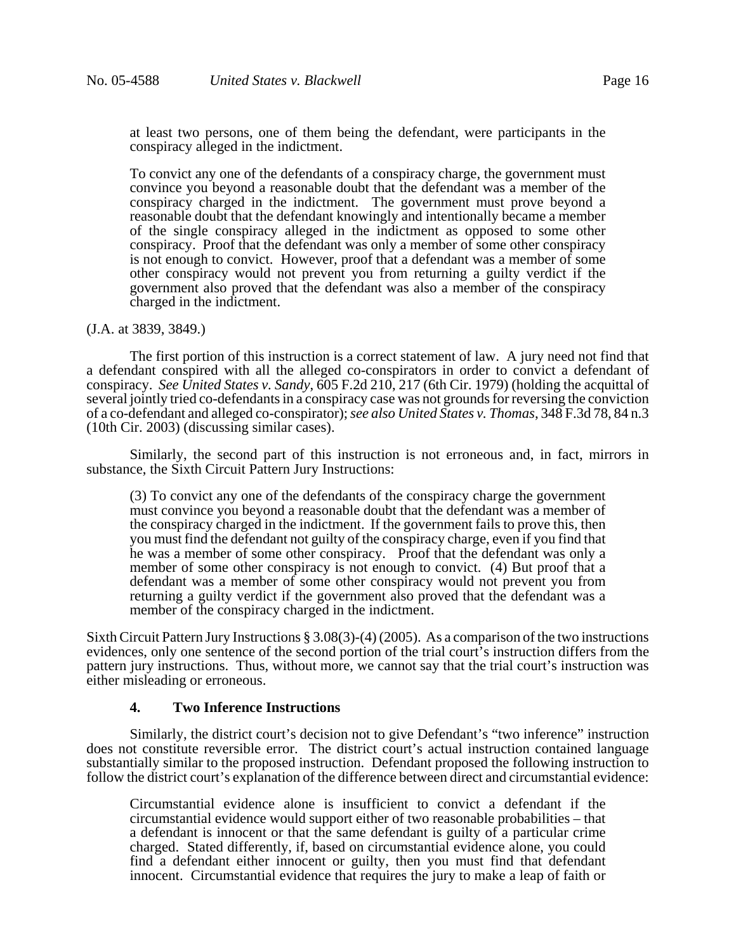at least two persons, one of them being the defendant, were participants in the conspiracy alleged in the indictment.

To convict any one of the defendants of a conspiracy charge, the government must convince you beyond a reasonable doubt that the defendant was a member of the conspiracy charged in the indictment. The government must prove beyond a reasonable doubt that the defendant knowingly and intentionally became a member of the single conspiracy alleged in the indictment as opposed to some other conspiracy. Proof that the defendant was only a member of some other conspiracy is not enough to convict. However, proof that a defendant was a member of some other conspiracy would not prevent you from returning a guilty verdict if the government also proved that the defendant was also a member of the conspiracy charged in the indictment.

#### (J.A. at 3839, 3849.)

The first portion of this instruction is a correct statement of law. A jury need not find that a defendant conspired with all the alleged co-conspirators in order to convict a defendant of conspiracy. *See United States v. Sandy*, 605 F.2d 210, 217 (6th Cir. 1979) (holding the acquittal of several jointly tried co-defendants in a conspiracy case was not grounds for reversing the conviction of a co-defendant and alleged co-conspirator); *see also United States v. Thomas*, 348 F.3d 78, 84 n.3 (10th Cir. 2003) (discussing similar cases).

Similarly, the second part of this instruction is not erroneous and, in fact, mirrors in substance, the Sixth Circuit Pattern Jury Instructions:

(3) To convict any one of the defendants of the conspiracy charge the government must convince you beyond a reasonable doubt that the defendant was a member of the conspiracy charged in the indictment. If the government fails to prove this, then you must find the defendant not guilty of the conspiracy charge, even if you find that he was a member of some other conspiracy. Proof that the defendant was only a member of some other conspiracy is not enough to convict. (4) But proof that a defendant was a member of some other conspiracy would not prevent you from returning a guilty verdict if the government also proved that the defendant was a member of the conspiracy charged in the indictment.

Sixth Circuit Pattern Jury Instructions § 3.08(3)-(4) (2005). As a comparison of the two instructions evidences, only one sentence of the second portion of the trial court's instruction differs from the pattern jury instructions. Thus, without more, we cannot say that the trial court's instruction was either misleading or erroneous.

#### **4. Two Inference Instructions**

Similarly, the district court's decision not to give Defendant's "two inference" instruction does not constitute reversible error. The district court's actual instruction contained language substantially similar to the proposed instruction. Defendant proposed the following instruction to follow the district court's explanation of the difference between direct and circumstantial evidence:

Circumstantial evidence alone is insufficient to convict a defendant if the circumstantial evidence would support either of two reasonable probabilities – that a defendant is innocent or that the same defendant is guilty of a particular crime charged. Stated differently, if, based on circumstantial evidence alone, you could find a defendant either innocent or guilty, then you must find that defendant innocent. Circumstantial evidence that requires the jury to make a leap of faith or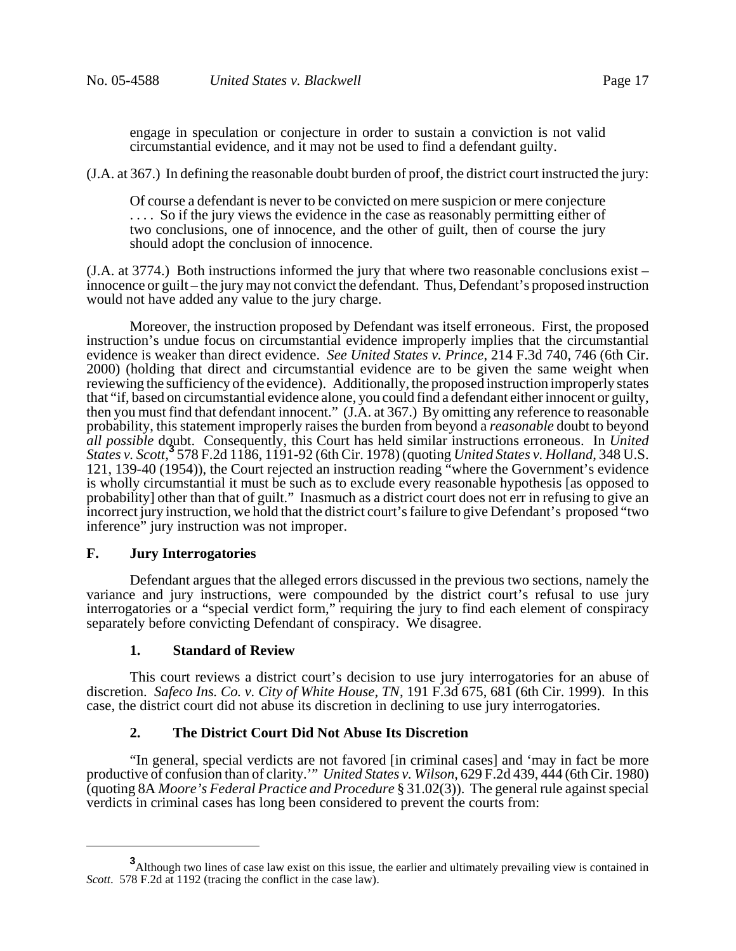engage in speculation or conjecture in order to sustain a conviction is not valid circumstantial evidence, and it may not be used to find a defendant guilty.

(J.A. at 367.) In defining the reasonable doubt burden of proof, the district court instructed the jury:

Of course a defendant is never to be convicted on mere suspicion or mere conjecture .... So if the jury views the evidence in the case as reasonably permitting either of two conclusions, one of innocence, and the other of guilt, then of course the jury should adopt the conclusion of innocence.

(J.A. at 3774.) Both instructions informed the jury that where two reasonable conclusions exist – innocence or guilt – the jury may not convict the defendant. Thus, Defendant's proposed instruction would not have added any value to the jury charge.

Moreover, the instruction proposed by Defendant was itself erroneous. First, the proposed instruction's undue focus on circumstantial evidence improperly implies that the circumstantial evidence is weaker than direct evidence. *See United States v. Prince*, 214 F.3d 740, 746 (6th Cir. 2000) (holding that direct and circumstantial evidence are to be given the same weight when reviewing the sufficiency of the evidence). Additionally, the proposed instruction improperly states that "if, based on circumstantial evidence alone, you could find a defendant either innocent or guilty, then you must find that defendant innocent." (J.A. at 367.) By omitting any reference to reasonable probability, this statement improperly raises the burden from beyond a *reasonable* doubt to beyond *all possible* doubt. Consequently, this Court has held similar instructions erroneous. In *United States v. Scott*, **3** 578 F.2d 1186, 1191-92 (6th Cir. 1978) (quoting *United States v. Holland*, 348 U.S. 121, 139-40 (1954)), the Court rejected an instruction reading "where the Government's evidence is wholly circumstantial it must be such as to exclude every reasonable hypothesis [as opposed to probability] other than that of guilt." Inasmuch as a district court does not err in refusing to give an incorrect jury instruction, we hold that the district court's failure to give Defendant's proposed "two inference" jury instruction was not improper.

### **F. Jury Interrogatories**

Defendant argues that the alleged errors discussed in the previous two sections, namely the variance and jury instructions, were compounded by the district court's refusal to use jury interrogatories or a "special verdict form," requiring the jury to find each element of conspiracy separately before convicting Defendant of conspiracy. We disagree.

### **1. Standard of Review**

This court reviews a district court's decision to use jury interrogatories for an abuse of discretion. *Safeco Ins. Co. v. City of White House, TN*, 191 F.3d 675, 681 (6th Cir. 1999). In this case, the district court did not abuse its discretion in declining to use jury interrogatories.

# **2. The District Court Did Not Abuse Its Discretion**

"In general, special verdicts are not favored [in criminal cases] and 'may in fact be more productive of confusion than of clarity.'" *United States v. Wilson*, 629 F.2d 439, 444 (6th Cir. 1980) (quoting 8A *Moore's Federal Practice and Procedure* § 31.02(3)). The general rule against special verdicts in criminal cases has long been considered to prevent the courts from:

**<sup>3</sup>**<br>Although two lines of case law exist on this issue, the earlier and ultimately prevailing view is contained in *Scott*. 578 F.2d at 1192 (tracing the conflict in the case law).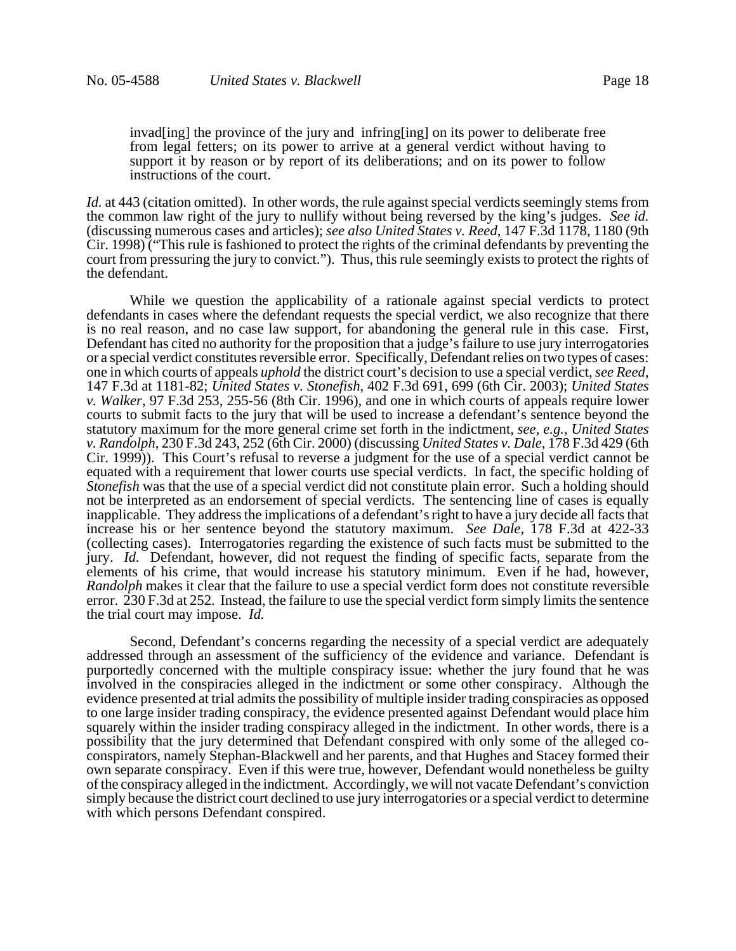invad[ing] the province of the jury and infring[ing] on its power to deliberate free from legal fetters; on its power to arrive at a general verdict without having to support it by reason or by report of its deliberations; and on its power to follow instructions of the court.

*Id.* at 443 (citation omitted). In other words, the rule against special verdicts seemingly stems from the common law right of the jury to nullify without being reversed by the king's judges. *See id.* (discussing numerous cases and articles); *see also United States v. Reed*, 147 F.3d 1178, 1180 (9th Cir. 1998) ("This rule is fashioned to protect the rights of the criminal defendants by preventing the court from pressuring the jury to convict."). Thus, this rule seemingly exists to protect the rights of the defendant.

While we question the applicability of a rationale against special verdicts to protect defendants in cases where the defendant requests the special verdict, we also recognize that there is no real reason, and no case law support, for abandoning the general rule in this case. First, Defendant has cited no authority for the proposition that a judge's failure to use jury interrogatories or a special verdict constitutes reversible error. Specifically, Defendant relies on two types of cases: one in which courts of appeals *uphold* the district court's decision to use a special verdict, *see Reed*, 147 F.3d at 1181-82; *United States v. Stonefish*, 402 F.3d 691, 699 (6th Cir. 2003); *United States v. Walker*, 97 F.3d 253, 255-56 (8th Cir. 1996), and one in which courts of appeals require lower courts to submit facts to the jury that will be used to increase a defendant's sentence beyond the statutory maximum for the more general crime set forth in the indictment, *see, e.g., United States v. Randolph*, 230 F.3d 243, 252 (6th Cir. 2000) (discussing *United States v. Dale*, 178 F.3d 429 (6th Cir. 1999)). This Court's refusal to reverse a judgment for the use of a special verdict cannot be equated with a requirement that lower courts use special verdicts. In fact, the specific holding of *Stonefish* was that the use of a special verdict did not constitute plain error. Such a holding should not be interpreted as an endorsement of special verdicts. The sentencing line of cases is equally inapplicable. They address the implications of a defendant's right to have a jury decide all facts that increase his or her sentence beyond the statutory maximum. *See Dale*, 178 F.3d at 422-33 (collecting cases). Interrogatories regarding the existence of such facts must be submitted to the jury. *Id.* Defendant, however, did not request the finding of specific facts, separate from the elements of his crime, that would increase his statutory minimum. Even if he had, however, *Randolph* makes it clear that the failure to use a special verdict form does not constitute reversible error. 230 F.3d at 252. Instead, the failure to use the special verdict form simply limits the sentence the trial court may impose. *Id.*

Second, Defendant's concerns regarding the necessity of a special verdict are adequately addressed through an assessment of the sufficiency of the evidence and variance. Defendant is purportedly concerned with the multiple conspiracy issue: whether the jury found that he was involved in the conspiracies alleged in the indictment or some other conspiracy. Although the evidence presented at trial admits the possibility of multiple insider trading conspiracies as opposed to one large insider trading conspiracy, the evidence presented against Defendant would place him squarely within the insider trading conspiracy alleged in the indictment. In other words, there is a possibility that the jury determined that Defendant conspired with only some of the alleged coconspirators, namely Stephan-Blackwell and her parents, and that Hughes and Stacey formed their own separate conspiracy. Even if this were true, however, Defendant would nonetheless be guilty of the conspiracy alleged in the indictment. Accordingly, we will not vacate Defendant's conviction simply because the district court declined to use jury interrogatories or a special verdict to determine with which persons Defendant conspired.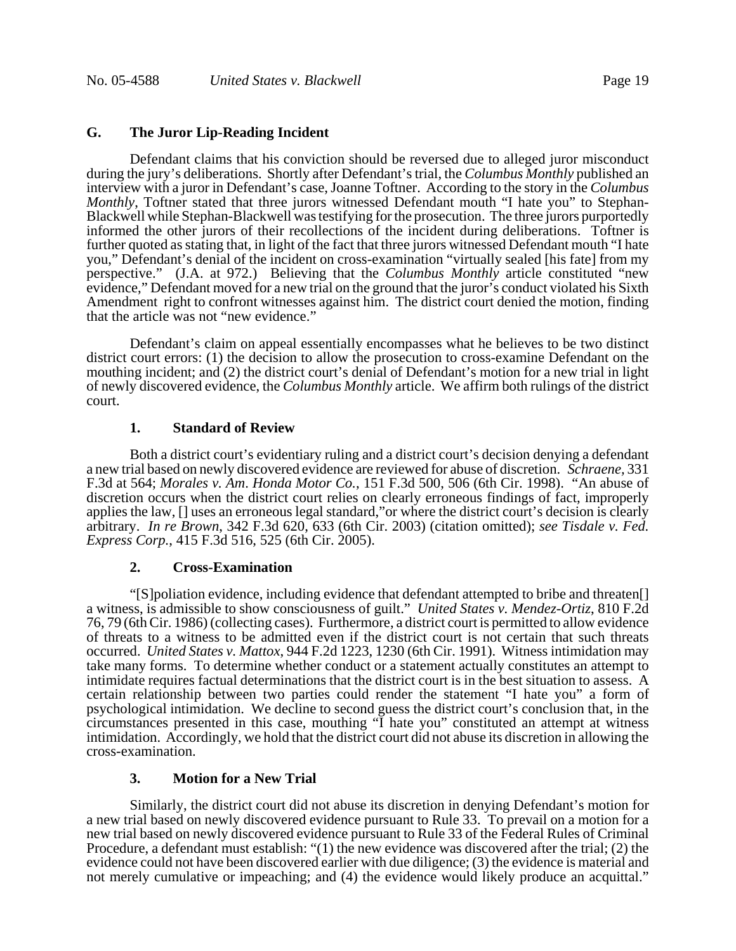## **G. The Juror Lip-Reading Incident**

Defendant claims that his conviction should be reversed due to alleged juror misconduct during the jury's deliberations. Shortly after Defendant's trial, the *Columbus Monthly* published an interview with a juror in Defendant's case, Joanne Toftner. According to the story in the *Columbus Monthly*, Toftner stated that three jurors witnessed Defendant mouth "I hate you" to Stephan-Blackwell while Stephan-Blackwell was testifying for the prosecution. The three jurors purportedly informed the other jurors of their recollections of the incident during deliberations. Toftner is further quoted as stating that, in light of the fact that three jurors witnessed Defendant mouth "I hate you," Defendant's denial of the incident on cross-examination "virtually sealed [his fate] from my perspective." (J.A. at 972.) Believing that the *Columbus Monthly* article constituted "new evidence," Defendant moved for a new trial on the ground that the juror's conduct violated his Sixth Amendment right to confront witnesses against him. The district court denied the motion, finding that the article was not "new evidence."

Defendant's claim on appeal essentially encompasses what he believes to be two distinct district court errors: (1) the decision to allow the prosecution to cross-examine Defendant on the mouthing incident; and (2) the district court's denial of Defendant's motion for a new trial in light of newly discovered evidence, the *Columbus Monthly* article. We affirm both rulings of the district court.

# **1. Standard of Review**

Both a district court's evidentiary ruling and a district court's decision denying a defendant a new trial based on newly discovered evidence are reviewed for abuse of discretion. *Schraene,* 331 F.3d at 564; *Morales v. Am*. *Honda Motor Co.*, 151 F.3d 500, 506 (6th Cir. 1998). "An abuse of discretion occurs when the district court relies on clearly erroneous findings of fact, improperly applies the law, [] uses an erroneous legal standard,"or where the district court's decision is clearly arbitrary. *In re Brown*, 342 F.3d 620, 633 (6th Cir. 2003) (citation omitted); *see Tisdale v. Fed. Express Corp.*, 415 F.3d 516, 525 (6th Cir. 2005).

### **2. Cross-Examination**

"[S]poliation evidence, including evidence that defendant attempted to bribe and threaten[] a witness, is admissible to show consciousness of guilt." *United States v. Mendez-Ortiz*, 810 F.2d 76, 79 (6th Cir. 1986) (collecting cases). Furthermore, a district court is permitted to allow evidence of threats to a witness to be admitted even if the district court is not certain that such threats occurred. *United States v. Mattox*, 944 F.2d 1223, 1230 (6th Cir. 1991). Witness intimidation may take many forms. To determine whether conduct or a statement actually constitutes an attempt to intimidate requires factual determinations that the district court is in the best situation to assess. A certain relationship between two parties could render the statement "I hate you" a form of psychological intimidation. We decline to second guess the district court's conclusion that, in the circumstances presented in this case, mouthing "I hate you" constituted an attempt at witness intimidation. Accordingly, we hold that the district court did not abuse its discretion in allowing the cross-examination.

### **3. Motion for a New Trial**

Similarly, the district court did not abuse its discretion in denying Defendant's motion for a new trial based on newly discovered evidence pursuant to Rule 33. To prevail on a motion for a new trial based on newly discovered evidence pursuant to Rule 33 of the Federal Rules of Criminal Procedure, a defendant must establish: "(1) the new evidence was discovered after the trial; (2) the evidence could not have been discovered earlier with due diligence; (3) the evidence is material and not merely cumulative or impeaching; and (4) the evidence would likely produce an acquittal."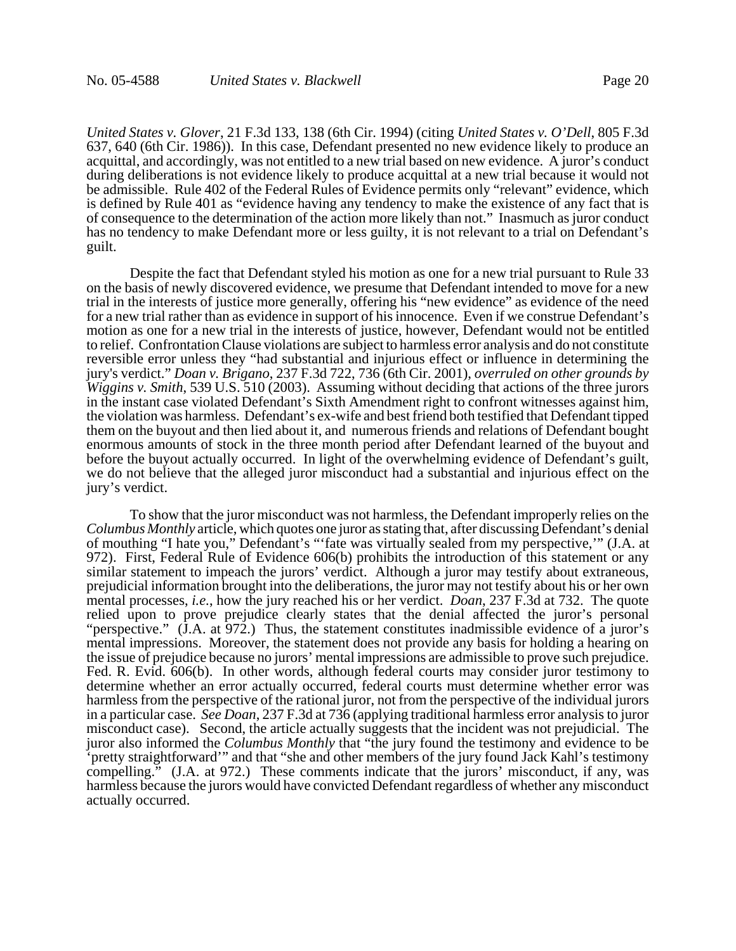*United States v. Glover*, 21 F.3d 133, 138 (6th Cir. 1994) (citing *United States v. O'Dell*, 805 F.3d 637, 640 (6th Cir. 1986)). In this case, Defendant presented no new evidence likely to produce an acquittal, and accordingly, was not entitled to a new trial based on new evidence. A juror's conduct during deliberations is not evidence likely to produce acquittal at a new trial because it would not be admissible. Rule 402 of the Federal Rules of Evidence permits only "relevant" evidence, which is defined by Rule 401 as "evidence having any tendency to make the existence of any fact that is of consequence to the determination of the action more likely than not." Inasmuch as juror conduct has no tendency to make Defendant more or less guilty, it is not relevant to a trial on Defendant's guilt.

Despite the fact that Defendant styled his motion as one for a new trial pursuant to Rule 33 on the basis of newly discovered evidence, we presume that Defendant intended to move for a new trial in the interests of justice more generally, offering his "new evidence" as evidence of the need for a new trial rather than as evidence in support of his innocence. Even if we construe Defendant's motion as one for a new trial in the interests of justice, however, Defendant would not be entitled to relief. Confrontation Clause violations are subject to harmless error analysis and do not constitute reversible error unless they "had substantial and injurious effect or influence in determining the jury's verdict." *Doan v. Brigano*, 237 F.3d 722, 736 (6th Cir. 2001), *overruled on other grounds by Wiggins v. Smith*, 539 U.S. 510 (2003). Assuming without deciding that actions of the three jurors in the instant case violated Defendant's Sixth Amendment right to confront witnesses against him, the violation was harmless. Defendant's ex-wife and best friend both testified that Defendant tipped them on the buyout and then lied about it, and numerous friends and relations of Defendant bought enormous amounts of stock in the three month period after Defendant learned of the buyout and before the buyout actually occurred. In light of the overwhelming evidence of Defendant's guilt, we do not believe that the alleged juror misconduct had a substantial and injurious effect on the jury's verdict.

To show that the juror misconduct was not harmless, the Defendant improperly relies on the *Columbus Monthly* article, which quotes one juror as stating that, after discussing Defendant's denial of mouthing "I hate you," Defendant's "'fate was virtually sealed from my perspective,'" (J.A. at 972). First, Federal Rule of Evidence 606(b) prohibits the introduction of this statement or any similar statement to impeach the jurors' verdict. Although a juror may testify about extraneous, prejudicial information brought into the deliberations, the juror may not testify about his or her own mental processes, *i.e.*, how the jury reached his or her verdict. *Doan*, 237 F.3d at 732. The quote relied upon to prove prejudice clearly states that the denial affected the juror's personal "perspective." (J.A. at 972.) Thus, the statement constitutes inadmissible evidence of a juror's mental impressions. Moreover, the statement does not provide any basis for holding a hearing on the issue of prejudice because no jurors' mental impressions are admissible to prove such prejudice. Fed. R. Evid. 606(b). In other words, although federal courts may consider juror testimony to determine whether an error actually occurred, federal courts must determine whether error was harmless from the perspective of the rational juror, not from the perspective of the individual jurors in a particular case. *See Doan*, 237 F.3d at 736 (applying traditional harmless error analysis to juror misconduct case). Second, the article actually suggests that the incident was not prejudicial. The juror also informed the *Columbus Monthly* that "the jury found the testimony and evidence to be 'pretty straightforward'" and that "she and other members of the jury found Jack Kahl's testimony compelling." (J.A. at 972.) These comments indicate that the jurors' misconduct, if any, was harmless because the jurors would have convicted Defendant regardless of whether any misconduct actually occurred.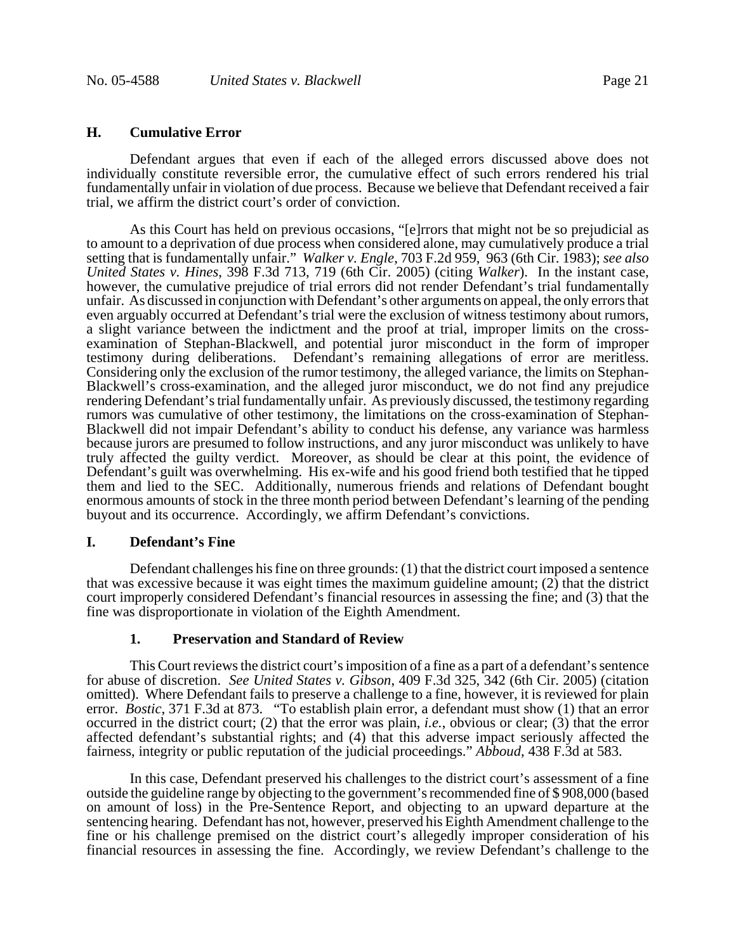# **H. Cumulative Error**

Defendant argues that even if each of the alleged errors discussed above does not individually constitute reversible error, the cumulative effect of such errors rendered his trial fundamentally unfair in violation of due process. Because we believe that Defendant received a fair trial, we affirm the district court's order of conviction.

As this Court has held on previous occasions, "[e]rrors that might not be so prejudicial as to amount to a deprivation of due process when considered alone, may cumulatively produce a trial setting that is fundamentally unfair." *Walker v. Engle*, 703 F.2d 959, 963 (6th Cir. 1983); *see also United States v. Hines*, 398 F.3d 713, 719 (6th Cir. 2005) (citing *Walker*). In the instant case, however, the cumulative prejudice of trial errors did not render Defendant's trial fundamentally unfair. As discussed in conjunction with Defendant's other arguments on appeal, the only errors that even arguably occurred at Defendant's trial were the exclusion of witness testimony about rumors, a slight variance between the indictment and the proof at trial, improper limits on the crossexamination of Stephan-Blackwell, and potential juror misconduct in the form of improper testimony during deliberations. Defendant's remaining allegations of error are meritless. Considering only the exclusion of the rumor testimony, the alleged variance, the limits on Stephan-Blackwell's cross-examination, and the alleged juror misconduct, we do not find any prejudice rendering Defendant's trial fundamentally unfair. As previously discussed, the testimony regarding rumors was cumulative of other testimony, the limitations on the cross-examination of Stephan-Blackwell did not impair Defendant's ability to conduct his defense, any variance was harmless because jurors are presumed to follow instructions, and any juror misconduct was unlikely to have truly affected the guilty verdict. Moreover, as should be clear at this point, the evidence of Defendant's guilt was overwhelming. His ex-wife and his good friend both testified that he tipped them and lied to the SEC. Additionally, numerous friends and relations of Defendant bought enormous amounts of stock in the three month period between Defendant's learning of the pending buyout and its occurrence. Accordingly, we affirm Defendant's convictions.

#### **I. Defendant's Fine**

Defendant challenges his fine on three grounds: (1) that the district court imposed a sentence that was excessive because it was eight times the maximum guideline amount; (2) that the district court improperly considered Defendant's financial resources in assessing the fine; and (3) that the fine was disproportionate in violation of the Eighth Amendment.

#### **1. Preservation and Standard of Review**

This Court reviews the district court's imposition of a fine as a part of a defendant's sentence for abuse of discretion. *See United States v. Gibson*, 409 F.3d 325, 342 (6th Cir. 2005) (citation omitted). Where Defendant fails to preserve a challenge to a fine, however, it is reviewed for plain error. *Bostic*, 371 F.3d at 873. "To establish plain error, a defendant must show (1) that an error occurred in the district court; (2) that the error was plain, *i.e.*, obvious or clear; (3) that the error affected defendant's substantial rights; and (4) that this adverse impact seriously affected the fairness, integrity or public reputation of the judicial proceedings." *Abboud*, 438 F.3d at 583.

In this case, Defendant preserved his challenges to the district court's assessment of a fine outside the guideline range by objecting to the government's recommended fine of \$ 908,000 (based on amount of loss) in the Pre-Sentence Report, and objecting to an upward departure at the sentencing hearing. Defendant has not, however, preserved his Eighth Amendment challenge to the fine or his challenge premised on the district court's allegedly improper consideration of his financial resources in assessing the fine. Accordingly, we review Defendant's challenge to the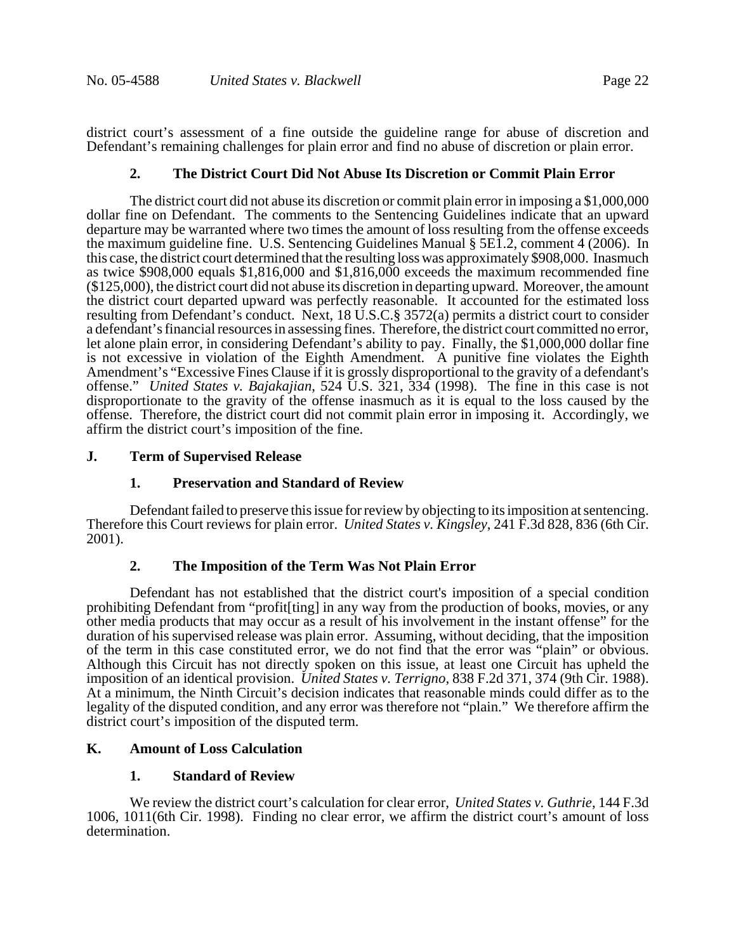district court's assessment of a fine outside the guideline range for abuse of discretion and Defendant's remaining challenges for plain error and find no abuse of discretion or plain error.

### **2. The District Court Did Not Abuse Its Discretion or Commit Plain Error**

The district court did not abuse its discretion or commit plain error in imposing a \$1,000,000 dollar fine on Defendant. The comments to the Sentencing Guidelines indicate that an upward departure may be warranted where two times the amount of loss resulting from the offense exceeds the maximum guideline fine. U.S. Sentencing Guidelines Manual § 5E1.2, comment 4 (2006). In this case, the district court determined that the resulting loss was approximately \$908,000. Inasmuch as twice \$908,000 equals \$1,816,000 and \$1,816,000 exceeds the maximum recommended fine (\$125,000), the district court did not abuse its discretion in departing upward. Moreover, the amount the district court departed upward was perfectly reasonable. It accounted for the estimated loss resulting from Defendant's conduct. Next, 18 U.S.C.§ 3572(a) permits a district court to consider a defendant's financial resources in assessing fines. Therefore, the district court committed no error, let alone plain error, in considering Defendant's ability to pay. Finally, the \$1,000,000 dollar fine is not excessive in violation of the Eighth Amendment. A punitive fine violates the Eighth Amendment's "Excessive Fines Clause if it is grossly disproportional to the gravity of a defendant's offense." *United States v. Bajakajian*, 524 U.S. 321, 334 (1998). The fine in this case is not disproportionate to the gravity of the offense inasmuch as it is equal to the loss caused by the offense. Therefore, the district court did not commit plain error in imposing it. Accordingly, we affirm the district court's imposition of the fine.

### **J. Term of Supervised Release**

# **1. Preservation and Standard of Review**

Defendant failed to preserve this issue for review by objecting to its imposition at sentencing. Therefore this Court reviews for plain error. *United States v. Kingsley*, 241 F.3d 828, 836 (6th Cir. 2001).

### **2. The Imposition of the Term Was Not Plain Error**

Defendant has not established that the district court's imposition of a special condition prohibiting Defendant from "profit[ting] in any way from the production of books, movies, or any other media products that may occur as a result of his involvement in the instant offense" for the duration of his supervised release was plain error. Assuming, without deciding, that the imposition of the term in this case constituted error, we do not find that the error was "plain" or obvious. Although this Circuit has not directly spoken on this issue, at least one Circuit has upheld the imposition of an identical provision. *United States v. Terrigno*, 838 F.2d 371, 374 (9th Cir. 1988). At a minimum, the Ninth Circuit's decision indicates that reasonable minds could differ as to the legality of the disputed condition, and any error was therefore not "plain." We therefore affirm the district court's imposition of the disputed term.

# **K. Amount of Loss Calculation**

### **1. Standard of Review**

We review the district court's calculation for clear error, *United States v. Guthrie*, 144 F.3d 1006, 1011(6th Cir. 1998). Finding no clear error, we affirm the district court's amount of loss determination.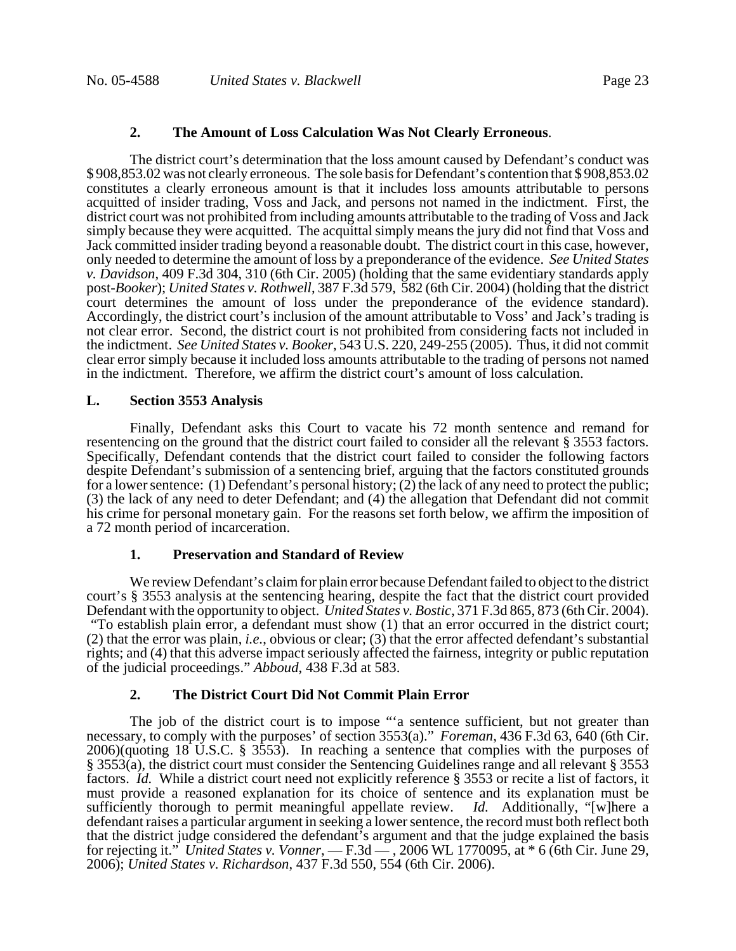## **2. The Amount of Loss Calculation Was Not Clearly Erroneous**.

The district court's determination that the loss amount caused by Defendant's conduct was \$ 908,853.02 was not clearly erroneous. The sole basis for Defendant's contention that \$ 908,853.02 constitutes a clearly erroneous amount is that it includes loss amounts attributable to persons acquitted of insider trading, Voss and Jack, and persons not named in the indictment. First, the district court was not prohibited from including amounts attributable to the trading of Voss and Jack simply because they were acquitted. The acquittal simply means the jury did not find that Voss and Jack committed insider trading beyond a reasonable doubt. The district court in this case, however, only needed to determine the amount of loss by a preponderance of the evidence. *See United States v. Davidson*, 409 F.3d 304, 310 (6th Cir. 2005) (holding that the same evidentiary standards apply post-*Booker*); *United States v. Rothwell*, 387 F.3d 579, 582 (6th Cir. 2004) (holding that the district court determines the amount of loss under the preponderance of the evidence standard). Accordingly, the district court's inclusion of the amount attributable to Voss' and Jack's trading is not clear error. Second, the district court is not prohibited from considering facts not included in the indictment. *See United States v. Booker*, 543 U.S. 220, 249-255 (2005). Thus, it did not commit clear error simply because it included loss amounts attributable to the trading of persons not named in the indictment. Therefore, we affirm the district court's amount of loss calculation.

#### **L. Section 3553 Analysis**

Finally, Defendant asks this Court to vacate his 72 month sentence and remand for resentencing on the ground that the district court failed to consider all the relevant § 3553 factors. Specifically, Defendant contends that the district court failed to consider the following factors despite Defendant's submission of a sentencing brief, arguing that the factors constituted grounds for a lower sentence: (1) Defendant's personal history; (2) the lack of any need to protect the public; (3) the lack of any need to deter Defendant; and (4) the allegation that Defendant did not commit his crime for personal monetary gain. For the reasons set forth below, we affirm the imposition of a 72 month period of incarceration.

### **1. Preservation and Standard of Review**

We review Defendant's claim for plain error because Defendant failed to object to the district court's § 3553 analysis at the sentencing hearing, despite the fact that the district court provided Defendant with the opportunity to object. *United States v. Bostic*, 371 F.3d 865, 873 (6th Cir. 2004). "To establish plain error, a defendant must show (1) that an error occurred in the district court; (2) that the error was plain, *i.e.*, obvious or clear; (3) that the error affected defendant's substantial rights; and (4) that this adverse impact seriously affected the fairness, integrity or public reputation of the judicial proceedings." *Abboud*, 438 F.3d at 583.

#### **2. The District Court Did Not Commit Plain Error**

The job of the district court is to impose "'a sentence sufficient, but not greater than necessary, to comply with the purposes' of section 3553(a)." *Foreman*, 436 F.3d 63, 640 (6th Cir. 2006)(quoting 18 U.S.C. § 3553). In reaching a sentence that complies with the purposes of § 3553(a), the district court must consider the Sentencing Guidelines range and all relevant § 3553 factors. *Id.* While a district court need not explicitly reference § 3553 or recite a list of factors, it must provide a reasoned explanation for its choice of sentence and its explanation must be sufficiently thorough to permit meaningful appellate review. *Id.* Additionally, "[w]here a defendant raises a particular argument in seeking a lower sentence, the record must both reflect both that the district judge considered the defendant's argument and that the judge explained the basis for rejecting it." *United States v. Vonner*, — F.3d — , 2006 WL 1770095, at \* 6 (6th Cir. June 29, 2006); *United States v. Richardson*, 437 F.3d 550, 554 (6th Cir. 2006).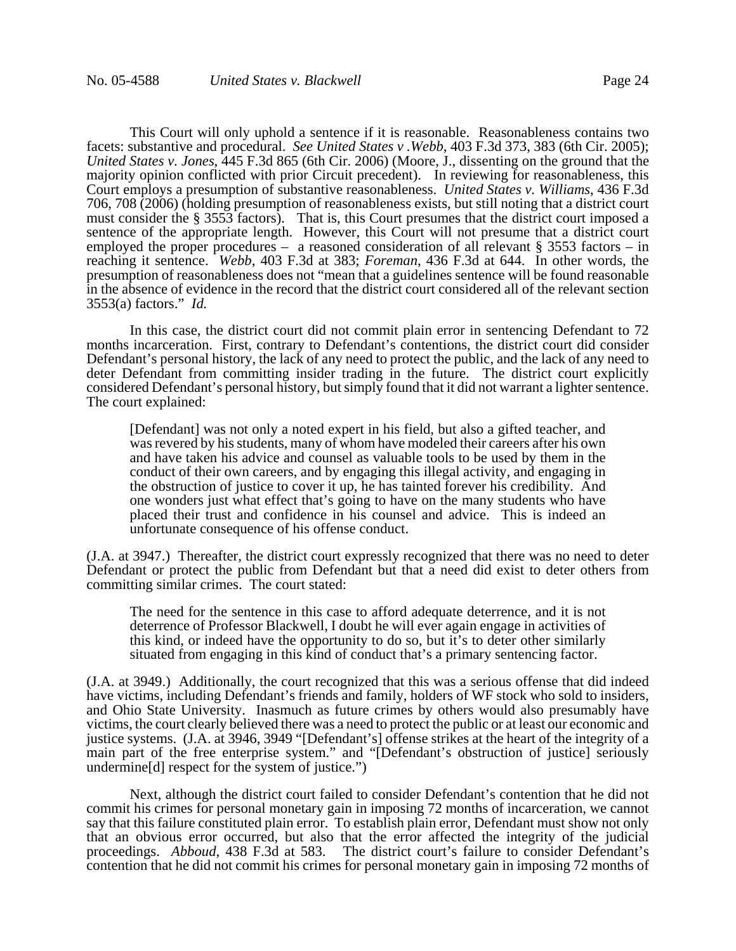This Court will only uphold a sentence if it is reasonable. Reasonableness contains two facets: substantive and procedural. *See United States v .Webb*, 403 F.3d 373, 383 (6th Cir. 2005); *United States v. Jones*, 445 F.3d 865 (6th Cir. 2006) (Moore, J., dissenting on the ground that the majority opinion conflicted with prior Circuit precedent). In reviewing for reasonableness, this Court employs a presumption of substantive reasonableness. *United States v. Williams*, 436 F.3d 706, 708 (2006) (holding presumption of reasonableness exists, but still noting that a district court must consider the § 3553 factors). That is, this Court presumes that the district court imposed a sentence of the appropriate length. However, this Court will not presume that a district court employed the proper procedures – a reasoned consideration of all relevant § 3553 factors – in reaching it sentence. *Webb*, 403 F.3d at 383; *Foreman*, 436 F.3d at 644. In other words, the presumption of reasonableness does not "mean that a guidelines sentence will be found reasonable in the absence of evidence in the record that the district court considered all of the relevant section 3553(a) factors." *Id.*

In this case, the district court did not commit plain error in sentencing Defendant to 72 months incarceration. First, contrary to Defendant's contentions, the district court did consider Defendant's personal history, the lack of any need to protect the public, and the lack of any need to deter Defendant from committing insider trading in the future. The district court explicitly considered Defendant's personal history, but simply found that it did not warrant a lighter sentence. The court explained:

[Defendant] was not only a noted expert in his field, but also a gifted teacher, and was revered by his students, many of whom have modeled their careers after his own and have taken his advice and counsel as valuable tools to be used by them in the conduct of their own careers, and by engaging this illegal activity, and engaging in the obstruction of justice to cover it up, he has tainted forever his credibility. And one wonders just what effect that's going to have on the many students who have placed their trust and confidence in his counsel and advice. This is indeed an unfortunate consequence of his offense conduct.

(J.A. at 3947.) Thereafter, the district court expressly recognized that there was no need to deter Defendant or protect the public from Defendant but that a need did exist to deter others from committing similar crimes. The court stated:

The need for the sentence in this case to afford adequate deterrence, and it is not deterrence of Professor Blackwell, I doubt he will ever again engage in activities of this kind, or indeed have the opportunity to do so, but it's to deter other similarly situated from engaging in this kind of conduct that's a primary sentencing factor.

(J.A. at 3949.) Additionally, the court recognized that this was a serious offense that did indeed have victims, including Defendant's friends and family, holders of WF stock who sold to insiders, and Ohio State University. Inasmuch as future crimes by others would also presumably have victims, the court clearly believed there was a need to protect the public or at least our economic and justice systems. (J.A. at 3946, 3949 "[Defendant's] offense strikes at the heart of the integrity of a main part of the free enterprise system." and "[Defendant's obstruction of justice] seriously undermine[d] respect for the system of justice.")

Next, although the district court failed to consider Defendant's contention that he did not commit his crimes for personal monetary gain in imposing 72 months of incarceration, we cannot say that this failure constituted plain error. To establish plain error, Defendant must show not only that an obvious error occurred, but also that the error affected the integrity of the judicial proceedings. *Abboud*, 438 F.3d at 583.The district court's failure to consider Defendant's contention that he did not commit his crimes for personal monetary gain in imposing 72 months of